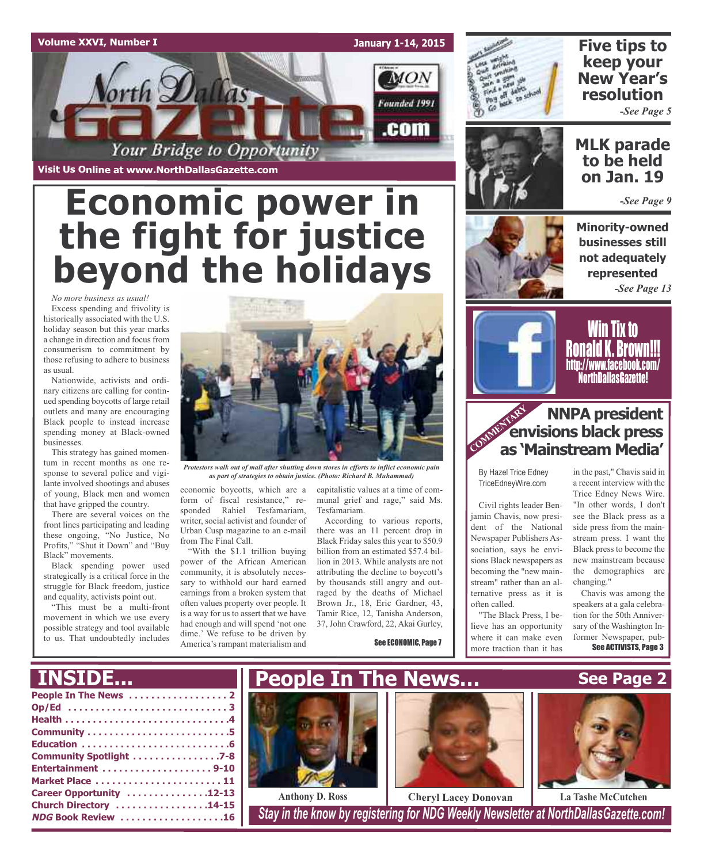#### **Volume XXVI, Number I**

**January 1-14, 2015** MON orth Dallas Founded 1991 .com Your Bridge to Opportunity

**Visit Us Online at www.NorthDallasGazette.com**

# **Economic power in the fight for justice beyond the holidays**

*No more business as usual!* Excess spending and frivolity is historically associated with the U.S. holiday season but this year marks a change in direction and focus from consumerism to commitment by those refusing to adhere to business as usual.

Nationwide, activists and ordinary citizens are calling for continued spending boycotts of large retail outlets and many are encouraging Black people to instead increase spending money at Black-owned businesses.

This strategy has gained momentum in recent months as one response to several police and vigilante involved shootings and abuses of young, Black men and women that have gripped the country.

There are several voices on the front lines participating and leading these ongoing, "No Justice, No Profits," "Shut it Down" and "Buy Black" movements.

Black spending power used strategically is a critical force in the struggle for Black freedom, justice and equality, activists point out.

"This must be a multi-front movement in which we use every possible strategy and tool available to us. That undoubtedly includes



*Protestors walk out of mall after shutting down stores in efforts to inflict economic pain as part of strategies to obtain justice. (Photo: Richard B. Muhammad)*

economic boycotts, which are a form of fiscal resistance," responded Rahiel Tesfamariam, writer, social activist and founder of Urban Cusp magazine to an e-mail from The Final Call.

"With the \$1.1 trillion buying power of the African American community, it is absolutely necessary to withhold our hard earned earnings from a broken system that often values property over people. It is a way for us to assert that we have had enough and will spend 'not one dime.' We refuse to be driven by America's rampant materialism and

capitalistic values at a time of communal grief and rage," said Ms. Tesfamariam.

According to various reports, there was an 11 percent drop in Black Friday sales this year to \$50.9 billion from an estimated \$57.4 billion in 2013. While analysts are not attributing the decline to boycott's by thousands still angry and outraged by the deaths of Michael Brown Jr., 18, Eric Gardner, 43, Tamir Rice, 12, Tanisha Anderson, 37, John Crawford, 22, Akai Gurley,

See ECONOMIC, Page 7



## **Five tips to keep your New Year's resolution**

*-See Page 5*



### **MLK parade to be held on Jan. 19**

*-See Page 9*

**Minority-owned businesses still not adequately represented** *-See Page 13*



Win Tix to Ronald K. Brown!!! http://www.facebook.com/ NorthDallasGazette!

#### **COMMENTARY NNPA president envisions black press as 'Mainstream Media'**

By Hazel Trice Edney TriceEdneyWire.com

Civil rights leader Benjamin Chavis, now president of the National Newspaper Publishers Association, says he envisions Black newspapers as becoming the "new mainstream" rather than an alternative press as it is often called.

"The Black Press, I believe has an opportunity where it can make even more traction than it has

in the past," Chavis said in a recent interview with the Trice Edney News Wire. "In other words, I don't see the Black press as a side press from the mainstream press. I want the Black press to become the new mainstream because the demographics are changing."

Chavis was among the speakers at a gala celebration for the 50th Anniversary of the Washington Informer Newspaper, pub-See ACTIVISTS, Page 3

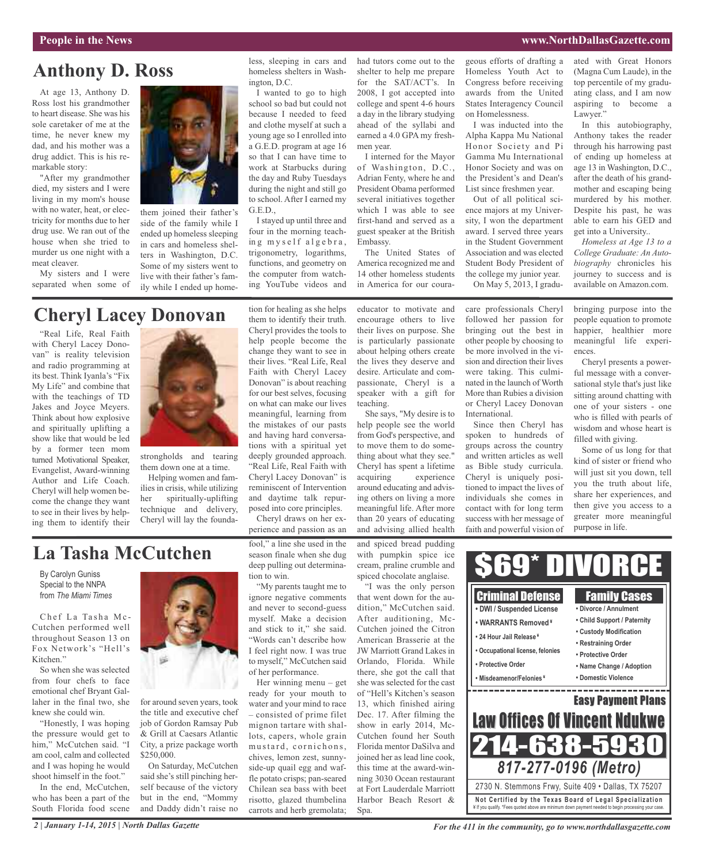#### **People in the News www.NorthDallasGazette.com**

## **Anthony D. Ross**

At age 13, Anthony D. Ross lost his grandmother to heart disease. She was his sole caretaker of me at the time, he never knew my dad, and his mother was a drug addict. This is his remarkable story:

"After my grandmother died, my sisters and I were living in my mom's house with no water, heat, or electricity for months due to her drug use. We ran out of the house when she tried to murder us one night with a meat cleaver.

My sisters and I were separated when some of



them joined their father's side of the family while I ended up homeless sleeping in cars and homeless shelters in Washington, D.C. Some of my sisters went to live with their father's family while I ended up home-

## **Cheryl Lacey Donovan**

"Real Life, Real Faith with Cheryl Lacey Donovan" is reality television and radio programming at its best. Think Iyanla's "Fix My Life" and combine that with the teachings of TD Jakes and Joyce Meyers. Think about how explosive and spiritually uplifting a show like that would be led by a former teen mom turned Motivational Speaker, Evangelist, Award-winning Author and Life Coach. Cheryl will help women become the change they want to see in their lives by helping them to identify their



strongholds and tearing them down one at a time.

Helping women and families in crisis, while utilizing her spiritually-uplifting technique and delivery, Cheryl will lay the foundation for healing as she helps them to identify their truth. Cheryl provides the tools to help people become the change they want to see in their lives. "Real Life, Real Faith with Cheryl Lacey Donovan" is about reaching for our best selves, focusing on what can make our lives meaningful, learning from the mistakes of our pasts and having hard conversations with a spiritual yet deeply grounded approach. "Real Life, Real Faith with Cheryl Lacey Donovan" is reminiscent of Intervention and daytime talk repurposed into core principles.

less, sleeping in cars and homeless shelters in Wash-

I wanted to go to high school so bad but could not because I needed to feed and clothe myself at such a young age so I enrolled into a G.E.D. program at age 16 so that I can have time to work at Starbucks during the day and Ruby Tuesdays during the night and still go to school. After I earned my

I stayed up until three and four in the morning teaching myself algebra, trigonometry, logarithms, functions, and geometry on the computer from watching YouTube videos and

ington, D.C.

G.E.D.,

perience and passion as an

**La Tasha McCutchen**

By Carolyn Guniss Special to the NNPA from *The Miami Times*

Chef La Tasha Mc-Cutchen performed well throughout Season 13 on Fox Network's "Hell's Kitchen"

So when she was selected from four chefs to face emotional chef Bryant Gallaher in the final two, she knew she could win.

"Honestly, I was hoping the pressure would get to him," McCutchen said. "I am cool, calm and collected and I was hoping he would shoot himself in the foot."

In the end, McCutchen, who has been a part of the South Florida food scene



for around seven years, took the title and executive chef job of Gordon Ramsay Pub & Grill at Caesars Atlantic City, a prize package worth \$250,000.

On Saturday, McCutchen said she's still pinching herself because of the victory but in the end, "Mommy and Daddy didn't raise no

#### Cheryl draws on her exfool," a line she used in the season finale when she dug deep pulling out determination to win. "My parents taught me to

ignore negative comments and never to second-guess myself. Make a decision and stick to it," she said. "Words can't describe how I feel right now. I was true to myself," McCutchen said of her performance.

Her winning menu – get ready for your mouth to water and your mind to race – consisted of prime filet mignon tartare with shallots, capers, whole grain mustard, cornichons, chives, lemon zest, sunnyside-up quail egg and waffle potato crisps; pan-seared Chilean sea bass with beet risotto, glazed thumbelina carrots and herb gremolata;

had tutors come out to the shelter to help me prepare for the SAT/ACT's. In 2008, I got accepted into college and spent 4-6 hours a day in the library studying ahead of the syllabi and earned a 4.0 GPA my freshmen year.

I interned for the Mayor of Washington, D.C., Adrian Fenty, where he and President Obama performed several initiatives together which I was able to see first-hand and served as a guest speaker at the British Embassy.

The United States of America recognized me and 14 other homeless students in America for our coura-

educator to motivate and encourage others to live their lives on purpose. She is particularly passionate about helping others create the lives they deserve and desire. Articulate and compassionate, Cheryl is a speaker with a gift for teaching.

She says, "My desire is to help people see the world from God's perspective, and to move them to do something about what they see." Cheryl has spent a lifetime acquiring experience around educating and advising others on living a more meaningful life. After more than 20 years of educating and advising allied health

and spiced bread pudding with pumpkin spice ice cream, praline crumble and spiced chocolate anglaise. "I was the only person

that went down for the audition," McCutchen said. After auditioning, Mc-Cutchen joined the Citron American Brasserie at the JW Marriott Grand Lakes in Orlando, Florida. While there, she got the call that she was selected for the cast of "Hell's Kitchen's season 13, which finished airing Dec. 17. After filming the show in early 2014, Mc-Cutchen found her South Florida mentor DaSilva and joined her as lead line cook, this time at the award-winning 3030 Ocean restaurant at Fort Lauderdale Marriott Harbor Beach Resort & Spa.

geous efforts of drafting a Homeless Youth Act to Congress before receiving awards from the United States Interagency Council on Homelessness.

I was inducted into the Alpha Kappa Mu National Honor Society and Pi Gamma Mu International Honor Society and was on the President's and Dean's List since freshmen year.

Out of all political science majors at my University, I won the department award. I served three years in the Student Government Association and was elected Student Body President of the college my junior year. On May 5, 2013, I gradu-

care professionals Cheryl followed her passion for bringing out the best in other people by choosing to be more involved in the vision and direction their lives were taking. This culminated in the launch of Worth More than Rubies a division or Cheryl Lacey Donovan International.

Since then Cheryl has spoken to hundreds of groups across the country and written articles as well as Bible study curricula. Cheryl is uniquely positioned to impact the lives of individuals she comes in contact with for long term success with her message of faith and powerful vision of ated with Great Honors (Magna Cum Laude), in the top percentile of my graduating class, and I am now aspiring to become a Lawyer."

In this autobiography, Anthony takes the reader through his harrowing past of ending up homeless at age 13 in Washington, D.C., after the death of his grandmother and escaping being murdered by his mother. Despite his past, he was able to earn his GED and get into a University..

*Homeless at Age 13 to a College Graduate: An Autobiography* chronicles his journey to success and is available on Amazon.com.

bringing purpose into the people equation to promote happier, healthier more meaningful life experiences.

Cheryl presents a powerful message with a conversational style that's just like sitting around chatting with one of your sisters - one who is filled with pearls of wisdom and whose heart is filled with giving.

Some of us long for that kind of sister or friend who will just sit you down, tell you the truth about life, share her experiences, and then give you access to a greater more meaningful purpose in life.



*For the 411 in the community, go to www.northdallasgazette.com*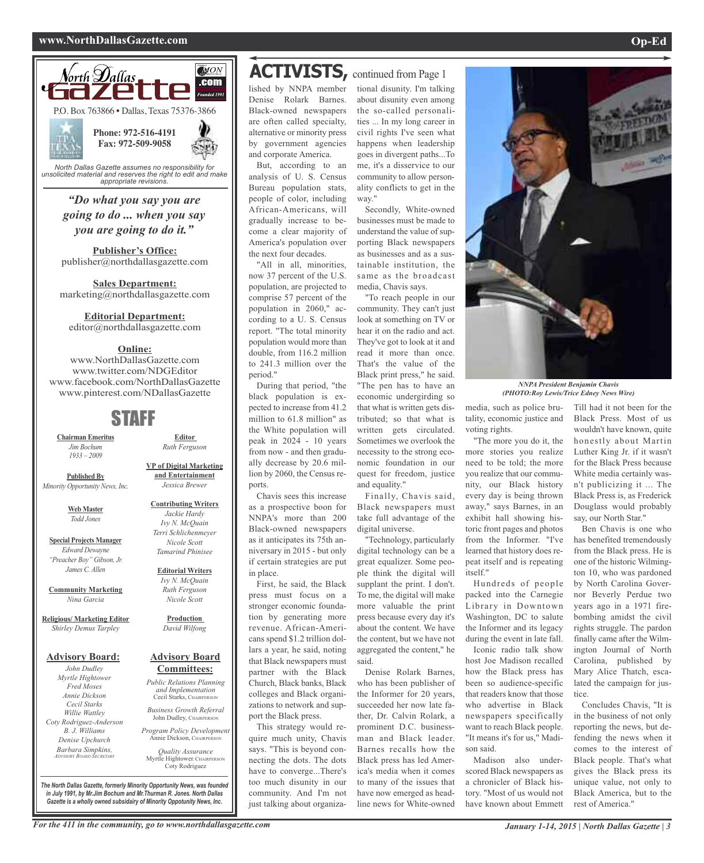#### **www.NorthDallasGazette.com Op-Ed**



*"Do what you say you are going to do ... when you say you are going to do it."*

**Publisher's Office:** publisher@northdallasgazette.com

**Sales Department:** marketing@northdallasgazette.com

#### **Editorial Department:**

editor@northdallasgazette.com

#### **Online:**

www.NorthDallasGazette.com www.twitter.com/NDGEditor www.facebook.com/NorthDallasGazette www.pinterest.com/NDallasGazette

## STAFF

**Chairman Emeritus** *Jim Bochum 1933 – 2009*

**Published By** *Minority Opportunity News, Inc.*

> **Web Master** *Todd Jones*

**Special Projects Manager** *Edward Dewayne "Preacher Boy" Gibson, Jr. James C. Allen*

**Community Marketing** *Nina Garcia*

**Religious/ Marketing Editor** *Shirley Demus Tarpley*

#### **Advisory Board:**

*John Dudley Myrtle Hightower Fred Moses Annie Dickson Cecil Starks Willie Wattley Coty Rodriguez-Anderson B. J. Williams Denise Upchurch Barbara Simpkins, ADVISORY BOARD SECRETARY*

**VP of Digital Marketing and Entertainment** *Jessica Brewer*

**Editor** *Ruth Ferguson*

**Contributing Writers** *Jackie Hardy Ivy N. McQuain Terri Schlichenmeyer Nicole Scott Tamarind Phinisee*

**Editorial Writers** *Ivy N. McQuain Ruth Ferguson Nicole Scott*

**Production** *David Wilfong*

#### **Advisory Board Committees:**

*Public Relations Planning and Implementation* Cecil Starks, CHAIRPERSON

*Business Growth Referral* John Dudley, CHAIRPERSON

*Program Policy Development* Annie Dickson, CHAIRPER

Myrtle Hightower, CHAIRPERSON

*Quality Assurance*

Coty Rodriguez

**ACTIVISTS,** continued from Page <sup>1</sup>

lished by NNPA member Denise Rolark Barnes. Black-owned newspapers are often called specialty, alternative or minority press by government agencies and corporate America.

But, according to an analysis of U. S. Census Bureau population stats, people of color, including African-Americans, will gradually increase to become a clear majority of America's population over the next four decades.

"All in all, minorities, now 37 percent of the U.S. population, are projected to comprise 57 percent of the population in 2060," according to a U. S. Census report. "The total minority population would more than double, from 116.2 million to 241.3 million over the period."

During that period, "the black population is expected to increase from 41.2 million to 61.8 million" as the White population will peak in 2024 - 10 years from now - and then gradually decrease by 20.6 million by 2060, the Census reports.

Chavis sees this increase as a prospective boon for NNPA's more than 200 Black-owned newspapers as it anticipates its 75th anniversary in 2015 - but only if certain strategies are put in place.

First, he said, the Black press must focus on a stronger economic foundation by generating more revenue. African-Americans spend \$1.2 trillion dollars a year, he said, noting that Black newspapers must partner with the Black Church, Black banks, Black colleges and Black organizations to network and support the Black press.

This strategy would require much unity, Chavis says. "This is beyond connecting the dots. The dots have to converge...There's too much disunity in our community. And I'm not just talking about organiza-

tional disunity. I'm talking about disunity even among the so-called personalities ... In my long career in civil rights I've seen what happens when leadership goes in divergent paths...To me, it's a disservice to our community to allow personality conflicts to get in the way."

Secondly, White-owned businesses must be made to understand the value of supporting Black newspapers as businesses and as a sustainable institution, the same as the broadcast media, Chavis says.

"To reach people in our community. They can't just look at something on TV or hear it on the radio and act. They've got to look at it and read it more than once. That's the value of the Black print press," he said. "The pen has to have an economic undergirding so that what is written gets distributed; so that what is written gets circulated. Sometimes we overlook the necessity to the strong economic foundation in our quest for freedom, justice and equality."

Finally, Chavis said, Black newspapers must take full advantage of the digital universe.

"Technology, particularly digital technology can be a great equalizer. Some people think the digital will supplant the print. I don't. To me, the digital will make more valuable the print press because every day it's about the content. We have the content, but we have not aggregated the content," he said.

Denise Rolark Barnes, who has been publisher of the Informer for 20 years, succeeded her now late father, Dr. Calvin Rolark, a prominent D.C. businessman and Black leader. Barnes recalls how the Black press has led America's media when it comes to many of the issues that have now emerged as headline news for White-owned



*NNPA President Benjamin Chavis (PHOTO:Roy Lewis/Trice Edney News Wire)*

media, such as police brutality, economic justice and voting rights.

"The more you do it, the more stories you realize need to be told; the more you realize that our community, our Black history every day is being thrown away," says Barnes, in an exhibit hall showing historic front pages and photos from the Informer. "I've learned that history does repeat itself and is repeating itself."

Hundreds of people packed into the Carnegie Library in Downtown Washington, DC to salute the Informer and its legacy during the event in late fall. Iconic radio talk show

host Joe Madison recalled how the Black press has been so audience-specific that readers know that those who advertise in Black newspapers specifically want to reach Black people. "It means it's for us," Madison said.

Madison also underscored Black newspapers as a chronicler of Black history. "Most of us would not have known about Emmett Till had it not been for the Black Press. Most of us wouldn't have known, quite honestly about Martin Luther King Jr. if it wasn't for the Black Press because White media certainly wasn't publicizing it ... The Black Press is, as Frederick Douglass would probably say, our North Star."

Ben Chavis is one who has benefited tremendously from the Black press. He is one of the historic Wilmington 10, who was pardoned by North Carolina Governor Beverly Perdue two years ago in a 1971 firebombing amidst the civil rights struggle. The pardon finally came after the Wilmington Journal of North Carolina, published by Mary Alice Thatch, escalated the campaign for justice.

Concludes Chavis, "It is in the business of not only reporting the news, but defending the news when it comes to the interest of Black people. That's what gives the Black press its unique value, not only to Black America, but to the rest of America."

*The North Dallas Gazette, formerly Minority Opportunity News, was founded in July 1991, by Mr.Jim Bochum and Mr.Thurman R. Jones. North Dallas Gazette is a wholly owned subsidairy of Minority Oppotunity News, Inc.*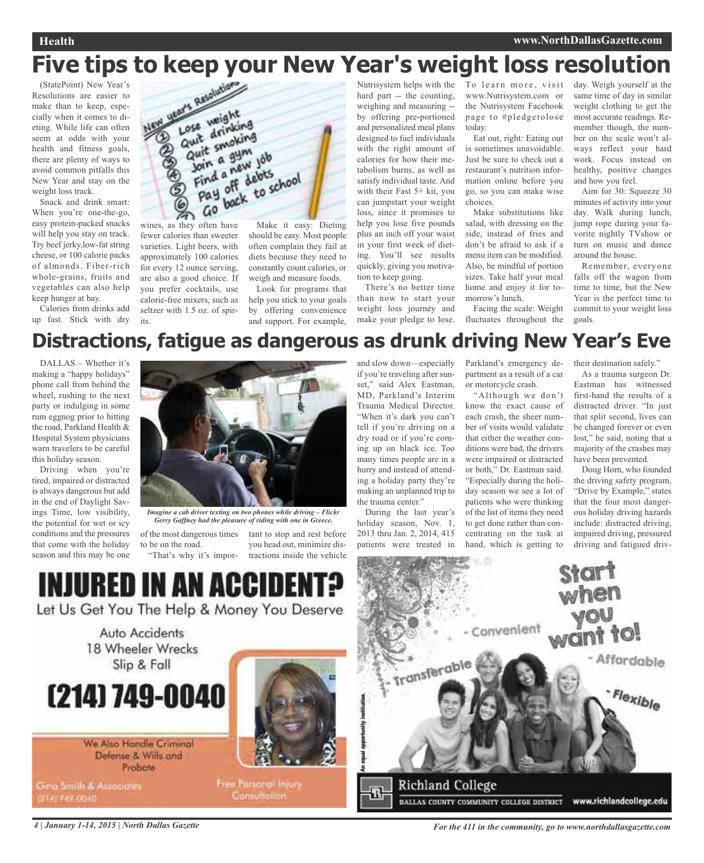## **Five tips to keep your New Year's weight loss resolution**

(StatePoint) New Year's Resolutions are easier to make than to keep, especially when it comes to dieting. While life can often seem at odds with your health and fitness goals, there are plenty of ways to avoid common pitfalls this New Year and stay on the weight loss track.

Snack and drink smart: When you're one-the-go, easy protein-packed snacks will help you stay on track. Try beef jerky,low-fat string cheese, or 100 calorie packs of almonds. Fiber-rich whole-grains, fruits and vegetables can also help keep hunger at bay.

Calories from drinks add up fast. Stick with dry



fewer calories than sweeter varieties. Light beers, with approximately 100 calories for every 12 ounce serving, are also a good choice. If you prefer cocktails, use calorie-free mixers, such as seltzer with 1.5 oz. of spirits.

Make it easy: Dieting should be easy. Most people often complain they fail at diets because they need to constantly count calories, or weigh and measure foods.

Look for programs that help you stick to your goals by offering convenience and support. For example, hard part -- the counting, weighing and measuring - by offering pre-portioned and personalized meal plans designed to fuel individuals with the right amount of calories for how their metabolism burns, as well as satisfy individual taste. And with their Fast 5+ kit, you can jumpstart your weight loss, since it promises to help you lose five pounds plus an inch off your waist in your first week of dieting. You'll see results quickly, giving you motivation to keep going.

There's no better time than now to start your weight loss journey and make your pledge to lose.

Nutrisystem helps with the To learn more, visit www.Nutrisystem.com or the Nutrisystem Facebook page to #pledgetolose today.

> Eat out, right: Eating out is sometimes unavoidable. Just be sure to check out a restaurant's nutrition information online before you go, so you can make wise choices.

> Make substitutions like salad, with dressing on the side, instead of fries and don't be afraid to ask if a menu item can be modified. Also, be mindful of portion sizes. Take half your meal home and enjoy it for tomorrow's lunch.

Facing the scale: Weight fluctuates throughout the day. Weigh yourself at the same time of day in similar weight clothing to get the most accurate readings. Remember though, the number on the scale won't always reflect your hard work. Focus instead on healthy, positive changes and how you feel.

Aim for 30: Squeeze 30 minutes of activity into your day. Walk during lunch, jump rope during your favorite nightly TVshow or turn on music and dance around the house.

Remember, everyone falls off the wagon from time to time, but the New Year is the perfect time to commit to your weight loss goals.

## **Distractions, fatigue as dangerous as drunk driving New Year's Eve**

DALLAS – Whether it's making a "happy holidays" phone call from behind the wheel, rushing to the next party or indulging in some rum eggnog prior to hitting the road, Parkland Health & Hospital System physicians warn travelers to be careful this holiday season.

Driving when you're tired, impaired or distracted is always dangerous but add in the end of Daylight Savings Time, low visibility, the potential for wet or icy conditions and the pressures that come with the holiday season and this may be one



*Imagine a cab driver texting on two phones while driving – Flickr Gerry Gaffney had the pleasure of riding with one in Greece.*

of the most dangerous times to be on the road. "That's why it's impor-

tant to stop and rest before you head out, minimize distractions inside the vehicle and slow down—especially if you're traveling after sunset," said Alex Eastman, MD, Parkland's Interim Trauma Medical Director. "When it's dark you can't tell if you're driving on a dry road or if you're coming up on black ice. Too many times people are in a hurry and instead of attending a holiday party they're making an unplanned trip to the trauma center."

During the last year's holiday season, Nov. 1, 2013 thru Jan. 2, 2014, 415 patients were treated in Parkland's emergency department as a result of a car or motorcycle crash.

"Although we don't know the exact cause of each crash, the sheer number of visits would validate that either the weather conditions were bad, the drivers were impaired or distracted or both," Dr. Eastman said. "Especially during the holiday season we see a lot of patients who were thinking of the list of items they need to get done rather than concentrating on the task at hand, which is getting to their destination safely."

As a trauma surgeon Dr. Eastman has witnessed first-hand the results of a distracted driver. "In just that split second, lives can be changed forever or even lost," he said, noting that a majority of the crashes may have been prevented.

Doug Horn, who founded the driving safety program, "Drive by Example," states that the four most dangerous holiday driving hazards include: distracted driving, impaired driving, pressured driving and fatigued driv-

INJURED IN AN ACCIDEN

Let Us Get You The Help & Money You Deserve

Auto Accidents 18 Wheeler Wrecks Slip & Fall



We Also Handle Criminal Defense & Wills and Probate

Gina Smith & Associates 141749-0040



**Free Parsonol Injury** Consultation:



4 January 1-14, 2015 | North Dallas Gazette State State of Table 11 in the community, go to www.northdallasgazette.com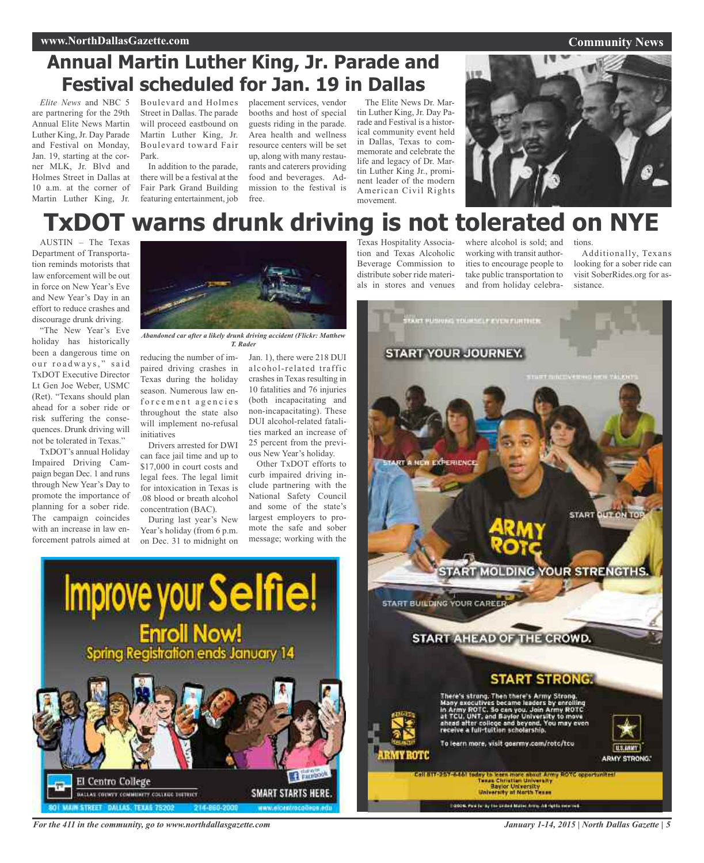#### **Community News**

## **Annual Martin Luther King, Jr. Parade and Festival scheduled for Jan. 19 in Dallas**

*Elite News* and NBC 5 are partnering for the 29th Annual Elite News Martin Luther King, Jr. Day Parade and Festival on Monday, Jan. 19, starting at the corner MLK, Jr. Blvd and Holmes Street in Dallas at 10 a.m. at the corner of Martin Luther King, Jr. Boulevard and Holmes Street in Dallas. The parade will proceed eastbound on Martin Luther King, Jr. Boulevard toward Fair Park.

In addition to the parade, there will be a festival at the Fair Park Grand Building featuring entertainment, job

placement services, vendor booths and host of special guests riding in the parade. Area health and wellness resource centers will be set up, along with many restaurants and caterers providing food and beverages. Admission to the festival is free.

The Elite News Dr. Martin Luther King, Jr. Day Parade and Festival is a historical community event held in Dallas, Texas to commemorate and celebrate the life and legacy of Dr. Martin Luther King Jr., prominent leader of the modern American Civil Rights movement.



## **TxDOT warns drunk driving is not tolerated on NYE**

AUSTIN – The Texas Department of Transportation reminds motorists that law enforcement will be out in force on New Year's Eve and New Year's Day in an effort to reduce crashes and discourage drunk driving.

"The New Year's Eve holiday has historically been a dangerous time on our roadways," said TxDOT Executive Director Lt Gen Joe Weber, USMC (Ret). "Texans should plan ahead for a sober ride or risk suffering the consequences. Drunk driving will not be tolerated in Texas."

TxDOT's annual Holiday Impaired Driving Campaign began Dec. 1 and runs through New Year's Day to promote the importance of planning for a sober ride. The campaign coincides with an increase in law enforcement patrols aimed at



*Abandoned car after a likely drunk driving accident (Flickr: Matthew T. Rader*

reducing the number of impaired driving crashes in Texas during the holiday season. Numerous law enforcement agencies throughout the state also will implement no-refusal initiatives

Drivers arrested for DWI can face jail time and up to \$17,000 in court costs and legal fees. The legal limit for intoxication in Texas is .08 blood or breath alcohol concentration (BAC).

During last year's New Year's holiday (from 6 p.m. on Dec. 31 to midnight on

Improve your Selfie!

**Enroll Now!**<br>Spring Registration ends January 14

Jan. 1), there were 218 DUI alcohol-related traffic crashes in Texas resulting in 10 fatalities and 76 injuries (both incapacitating and non-incapacitating). These DUI alcohol-related fatalities marked an increase of 25 percent from the previous New Year's holiday.

Other TxDOT efforts to curb impaired driving include partnering with the National Safety Council and some of the state's largest employers to promote the safe and sober message; working with the

**SMART STARTS HERE** 

Texas Hospitality Association and Texas Alcoholic Beverage Commission to distribute sober ride materials in stores and venues where alcohol is sold; and working with transit authorities to encourage people to take public transportation to and from holiday celebra-

tions.

Additionally, Texans looking for a sober ride can visit SoberRides.org for assistance.



*For the 411 in the community, go to www.northdallasgazette.com*

ALLAS COUNTY COMMITATY COLLEGE DISTRICT

El Centro College

*January 1-14, 2015 | North Dallas Gazette | 5*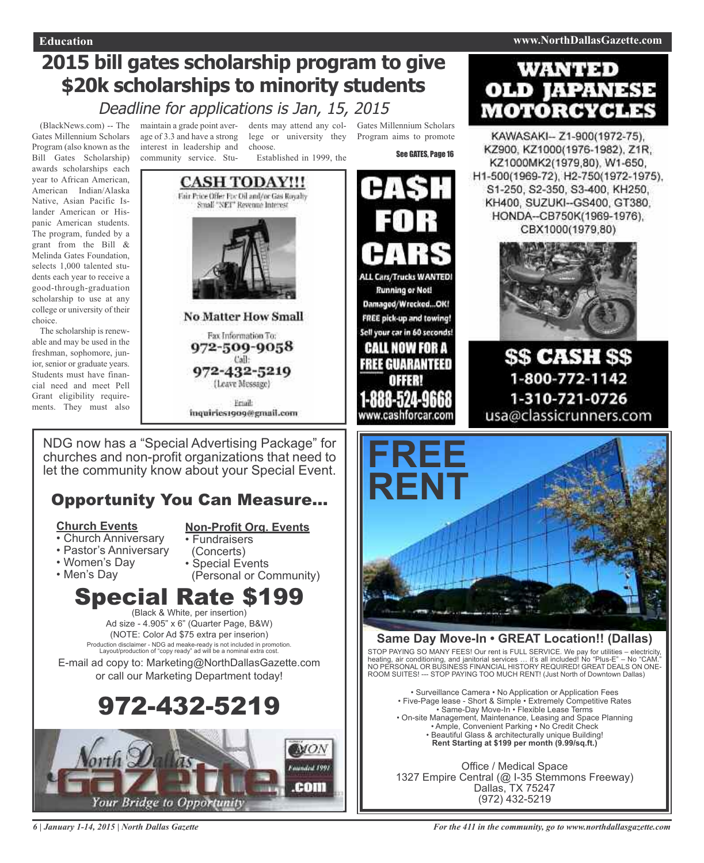## **2015 bill gates scholarship program to give \$20k scholarships to minority students**

## Deadline for applications is Jan, 15, 2015

(BlackNews.com) -- The Gates Millennium Scholars Program (also known as the Bill Gates Scholarship) awards scholarships each year to African American, American Indian/Alaska Native, Asian Pacific Islander American or Hispanic American students. The program, funded by a grant from the Bill & Melinda Gates Foundation, selects 1,000 talented students each year to receive a good-through-graduation scholarship to use at any college or university of their choice.

The scholarship is renewable and may be used in the freshman, sophomore, junior, senior or graduate years. Students must have financial need and meet Pell Grant eligibility requirements. They must also

maintain a grade point average of 3.3 and have a strong interest in leadership and community service. Stu-

dents may attend any col-Gates Millennium Scholars lege or university they Program aims to promote choose.

Established in 1999, the



(Leave Message)

Eriail: inquiries1909@gmail.com See GATES, Page 16



Sell your car in 60 seconds! CALL NOW FOR A FREE GUARANTEED

www.cashforcar.com

**WANTED OLD IAPANESE MOTORCYCLES** 

KAWASAKI-Z1-900(1972-75), KZ900, KZ1000(1976-1982), Z1R, KZ1000MK2(1979,80), W1-650, H1-500(1969-72), H2-750(1972-1975), S1-250, S2-350, S3-400, KH250, KH400, SUZUKI -- GS400, GT380, HONDA--CB750K(1969-1976), CBX1000(1979,80)



**\$\$ CASH \$\$** 1-800-772-1142 1-310-721-0726 usa@classicrunners.com



### **Same Day Move-In • GREAT Location!! (Dallas)**

STOP PAYING SO MANY FEES! Our rent is FULL SERVICE. We pay for utilities – electricity, heating, air conditioning, and janitorial services … it's all included! No "Plus-E" – No "CAM." NO PERSONAL OR BUSINESS FINANCIAL HISTORY REQUIRED! GREAT DEALS ON ONE-ROOM SUITES! --- STOP PAYING TOO MUCH RENT! (Just North of Downtown Dallas)

• Surveillance Camera • No Application or Application Fees • Five-Page lease - Short & Simple • Extremely Competitive Rates • Same-Day Move-In • Flexible Lease Terms • On-site Management, Maintenance, Leasing and Space Planning • Ample, Convenient Parking • No Credit Check • Beautiful Glass & architecturally unique Building! **Rent Starting at \$199 per month (9.99/sq.ft.)**

Office / Medical Space 1327 Empire Central (@ I-35 Stemmons Freeway) Dallas, TX 75247 (972) 432-5219

NDG now has a "Special Advertising Package" for churches and non-profit organizations that need to let the community know about your Special Event.

## Opportunity You Can Measure...

### **Church Events**

- **Non-Profit Org. Events**
- Church Anniversary • Pastor's Anniversary
- Fundraisers
- (Concerts)
- Women's Day • Men's Day
- Special Events (Personal or Community)

### **Special Rate \$19** (Black & White, per insertion)

Ad size - 4.905" x 6" (Quarter Page, B&W) (NOTE: Color Ad \$75 extra per inserion) Production disclaimer - NDG ad meake-ready is not included in promotion. Layout/production of "copy ready" ad will be a nominal extra cost.

E-mail ad copy to: Marketing@NorthDallasGazette.com or call our Marketing Department today!





*6 | January 1-14, 2015 | North Dallas Gazette*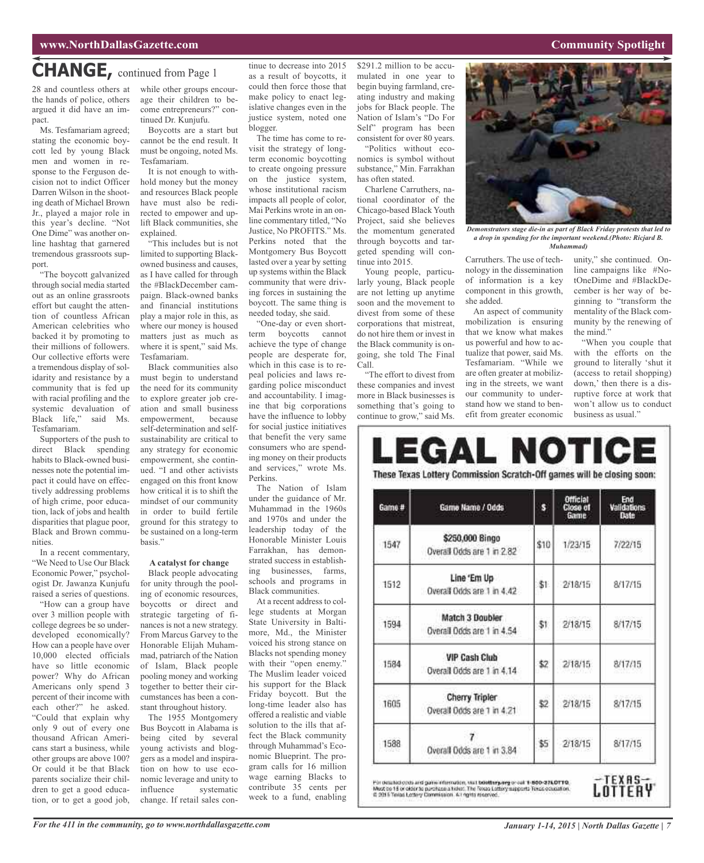### **CHANGE,** continued from Page <sup>1</sup>

28 and countless others at the hands of police, others argued it did have an impact.

Ms. Tesfamariam agreed; stating the economic boycott led by young Black men and women in response to the Ferguson decision not to indict Officer Darren Wilson in the shooting death of Michael Brown Jr., played a major role in this year's decline. "Not One Dime" was another online hashtag that garnered tremendous grassroots support.

"The boycott galvanized through social media started out as an online grassroots effort but caught the attention of countless African American celebrities who backed it by promoting to their millions of followers. Our collective efforts were a tremendous display of solidarity and resistance by a community that is fed up with racial profiling and the systemic devaluation of Black life," said Ms. Tesfamariam.

Supporters of the push to direct Black spending habits to Black-owned businesses note the potential impact it could have on effectively addressing problems of high crime, poor education, lack of jobs and health disparities that plague poor, Black and Brown communities.

In a recent commentary, "We Need to Use Our Black Economic Power," psychologist Dr. Jawanza Kunjufu raised a series of questions.

"How can a group have over 3 million people with college degrees be so underdeveloped economically? How can a people have over 10,000 elected officials have so little economic power? Why do African Americans only spend 3 percent of their income with each other?" he asked. "Could that explain why only 9 out of every one thousand African Americans start a business, while other groups are above 100? Or could it be that Black parents socialize their children to get a good education, or to get a good job, while other groups encourage their children to become entrepreneurs?" continued Dr. Kunjufu.

Boycotts are a start but cannot be the end result. It must be ongoing, noted Ms. Tesfamariam.

It is not enough to withhold money but the money and resources Black people have must also be redirected to empower and uplift Black communities, she explained.

"This includes but is not limited to supporting Blackowned business and causes, as I have called for through the #BlackDecember campaign. Black-owned banks and financial institutions play a major role in this, as where our money is housed matters just as much as where it is spent," said Ms. Tesfamariam.

Black communities also must begin to understand the need for its community to explore greater job creation and small business empowerment, because self-determination and selfsustainability are critical to any strategy for economic empowerment, she continued. "I and other activists engaged on this front know how critical it is to shift the mindset of our community in order to build fertile ground for this strategy to be sustained on a long-term basis."

#### **A catalyst for change**

Black people advocating for unity through the pooling of economic resources, boycotts or direct and strategic targeting of finances is not a new strategy. From Marcus Garvey to the Honorable Elijah Muhammad, patriarch of the Nation of Islam, Black people pooling money and working together to better their circumstances has been a constant throughout history.

The 1955 Montgomery Bus Boycott in Alabama is being cited by several young activists and bloggers as a model and inspiration on how to use economic leverage and unity to<br>influence systematic systematic change. If retail sales continue to decrease into 2015 as a result of boycotts, it could then force those that make policy to enact legislative changes even in the justice system, noted one blogger.

The time has come to revisit the strategy of longterm economic boycotting to create ongoing pressure on the justice system, whose institutional racism impacts all people of color, Mai Perkins wrote in an online commentary titled, "No Justice, No PROFITS." Ms. Perkins noted that the Montgomery Bus Boycott lasted over a year by setting up systems within the Black community that were driving forces in sustaining the boycott. The same thing is needed today, she said.

"One-day or even shortterm boycotts cannot achieve the type of change people are desperate for, which in this case is to repeal policies and laws regarding police misconduct and accountability. I imagine that big corporations have the influence to lobby for social justice initiatives that benefit the very same consumers who are spending money on their products and services," wrote Ms. Perkins.

The Nation of Islam under the guidance of Mr. Muhammad in the 1960s and 1970s and under the leadership today of the Honorable Minister Louis Farrakhan, has demonstrated success in establishing businesses, farms, schools and programs in Black communities.

At a recent address to college students at Morgan State University in Baltimore, Md., the Minister voiced his strong stance on Blacks not spending money with their "open enemy." The Muslim leader voiced his support for the Black Friday boycott. But the long-time leader also has offered a realistic and viable solution to the ills that affect the Black community through Muhammad's Economic Blueprint. The program calls for 16 million wage earning Blacks to contribute 35 cents per week to a fund, enabling

\$291.2 million to be accumulated in one year to begin buying farmland, creating industry and making jobs for Black people. The Nation of Islam's "Do For Self" program has been consistent for over 80 years.

"Politics without economics is symbol without substance," Min. Farrakhan has often stated.

Charlene Carruthers, national coordinator of the Chicago-based Black Youth Project, said she believes the momentum generated through boycotts and targeted spending will continue into 2015.

Young people, particularly young, Black people are not letting up anytime soon and the movement to divest from some of these corporations that mistreat, do not hire them or invest in the Black community is ongoing, she told The Final Call.

"The effort to divest from these companies and invest more in Black businesses is something that's going to continue to grow," said Ms.

Th

Carruthers. The use of technology in the dissemination of information is a key component in this growth, she added.

An aspect of community mobilization is ensuring that we know what makes us powerful and how to actualize that power, said Ms. Tesfamariam. "While we are often greater at mobilizing in the streets, we want our community to understand how we stand to benefit from greater economic

unity," she continued. Online campaigns like #NotOneDime and #BlackDecember is her way of beginning to "transform the mentality of the Black community by the renewing of the mind."

"When you couple that with the efforts on the ground to literally 'shut it (access to retail shopping) down,' then there is a disruptive force at work that won't allow us to conduct business as usual."

| ame# | <b>Game Name / Odds</b>                            | s    | Official<br>Close of<br><b>Game</b> | End<br>Validations<br>Date |
|------|----------------------------------------------------|------|-------------------------------------|----------------------------|
| 1547 | \$250,000 Bingo<br>Overall Odds are 1 in 2.82      | \$10 | 1/23/15                             | 7/22/15                    |
| 1512 | Line 'Em Up<br>Overall Odds are 1 in 4.42          | \$1. | 2/18/15                             | 8/17/15                    |
| 1594 | Match 3 Doubler<br>Overall Dods are 1 in 4.54      | \$1. | 2/18/15                             | 8/17/15                    |
| 1584 | <b>VIP Cash Club</b><br>Overail Odds are 1 in 4.14 | \$2  | 2/18/15                             | 8/17/15                    |
| 1605 | Cherry Tripler<br>Overall Odds are 1 in 4.21       | \$2  | 2/18/15                             | 8/17/15                    |

1588 \$5  $2/18/15$ 8/17/15 Overall Odds are 1 in 3.84

For detailed open and game information, visit belefter party or out 1-800-376.0TTO.<br>Must be 15 or older to parchize a titlen. The Towas Lattery supports Texas coupation.<br>© 2015 Toxias Lattery Commission. A Lagats reserved.



*Demonstrators stage die-in as part of Black Friday protests that led to a drop in spending for the important weekend.(Photo: Ricjard B. Muhammad)*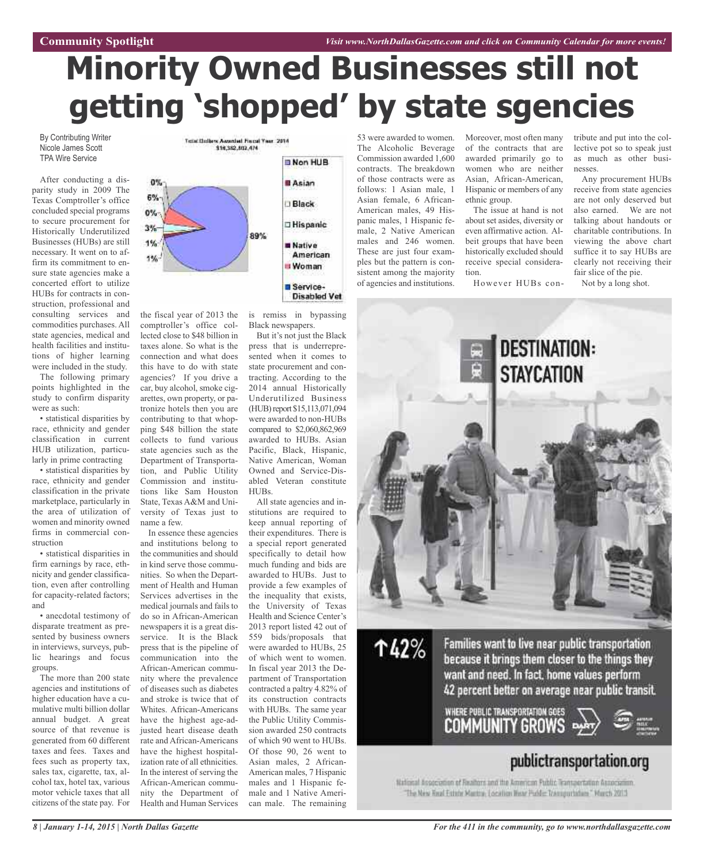# **Minority Owned Businesses still not getting 'shopped' by state sgencies**

By Contributing Writer Nicole James Scott TPA Wire Service

After conducting a disparity study in 2009 The Texas Comptroller's office concluded special programs to secure procurement for Historically Underutilized Businesses (HUBs) are still necessary. It went on to affirm its commitment to ensure state agencies make a concerted effort to utilize HUBs for contracts in construction, professional and consulting services and commodities purchases. All state agencies, medical and health facilities and institutions of higher learning were included in the study.

The following primary points highlighted in the study to confirm disparity were as such:

• statistical disparities by race, ethnicity and gender classification in current HUB utilization, particularly in prime contracting

• statistical disparities by race, ethnicity and gender classification in the private marketplace, particularly in the area of utilization of women and minority owned firms in commercial construction

• statistical disparities in firm earnings by race, ethnicity and gender classification, even after controlling for capacity-related factors; and

• anecdotal testimony of disparate treatment as presented by business owners in interviews, surveys, public hearings and focus groups.

The more than 200 state agencies and institutions of higher education have a cumulative multi billion dollar annual budget. A great source of that revenue is generated from 60 different taxes and fees. Taxes and fees such as property tax, sales tax, cigarette, tax, alcohol tax, hotel tax, various motor vehicle taxes that all citizens of the state pay. For



the fiscal year of 2013 the comptroller's office collected close to \$48 billion in taxes alone. So what is the connection and what does this have to do with state agencies? If you drive a car, buy alcohol, smoke cigarettes, own property, or patronize hotels then you are contributing to that whopping \$48 billion the state collects to fund various state agencies such as the Department of Transportation, and Public Utility Commission and institutions like Sam Houston State, Texas A&M and University of Texas just to name a few.

In essence these agencies and institutions belong to the communities and should in kind serve those communities. So when the Department of Health and Human Services advertises in the medical journals and fails to do so in African-American newspapers it is a great disservice. It is the Black press that is the pipeline of communication into the African-American community where the prevalence of diseases such as diabetes and stroke is twice that of Whites. African-Americans have the highest age-adjusted heart disease death rate and African-Americans have the highest hospitalization rate of all ethnicities. In the interest of serving the African-American community the Department of Health and Human Services

is remiss in bypassing Black newspapers.

But it's not just the Black press that is underrepresented when it comes to state procurement and contracting. According to the 2014 annual Historically Underutilized Business (HUB) report \$15,113,071,094 were awarded to non-HUBs compared to \$2,060,862,969 awarded to HUBs. Asian Pacific, Black, Hispanic, Native American, Woman Owned and Service-Disabled Veteran constitute HUBs.

All state agencies and institutions are required to keep annual reporting of their expenditures. There is a special report generated specifically to detail how much funding and bids are awarded to HUBs. Just to provide a few examples of the inequality that exists, the University of Texas Health and Science Center's 2013 report listed 42 out of 559 bids/proposals that were awarded to HUBs, 25 of which went to women. In fiscal year 2013 the Department of Transportation contracted a paltry 4.82% of its construction contracts with HUBs. The same year the Public Utility Commission awarded 250 contracts of which 90 went to HUBs. Of those 90, 26 went to Asian males, 2 African-American males, 7 Hispanic males and 1 Hispanic female and 1 Native American male. The remaining

53 were awarded to women. The Alcoholic Beverage Commission awarded 1,600 contracts. The breakdown of those contracts were as follows: 1 Asian male, 1 Asian female, 6 African-American males, 49 Hispanic males, 1 Hispanic female, 2 Native American males and 246 women. These are just four examples but the pattern is consistent among the majority of agencies and institutions.

Moreover, most often many of the contracts that are awarded primarily go to women who are neither Asian, African-American, Hispanic or members of any ethnic group.

The issue at hand is not about set asides, diversity or even affirmative action. Albeit groups that have been historically excluded should receive special consideration.

However HUBs con-

tribute and put into the collective pot so to speak just as much as other businesses.

Any procurement HUBs receive from state agencies are not only deserved but also earned. We are not talking about handouts or charitable contributions. In viewing the above chart suffice it to say HUBs are clearly not receiving their fair slice of the pie.

Not by a long shot.



ተ42%

Families want to live near public transportation because it brings them closer to the things they want and need. In fact, home values perform 42 percent better on average near public transit.

WHERE PUBLIC TRANSPORTATION GOES COMMUNITY GROWS



## publictransportation.org

National Association of Realtors and the American Public Transportation Association. "The New Hoat Estate Mantou: Location Wear Public Transportation" Morch 2013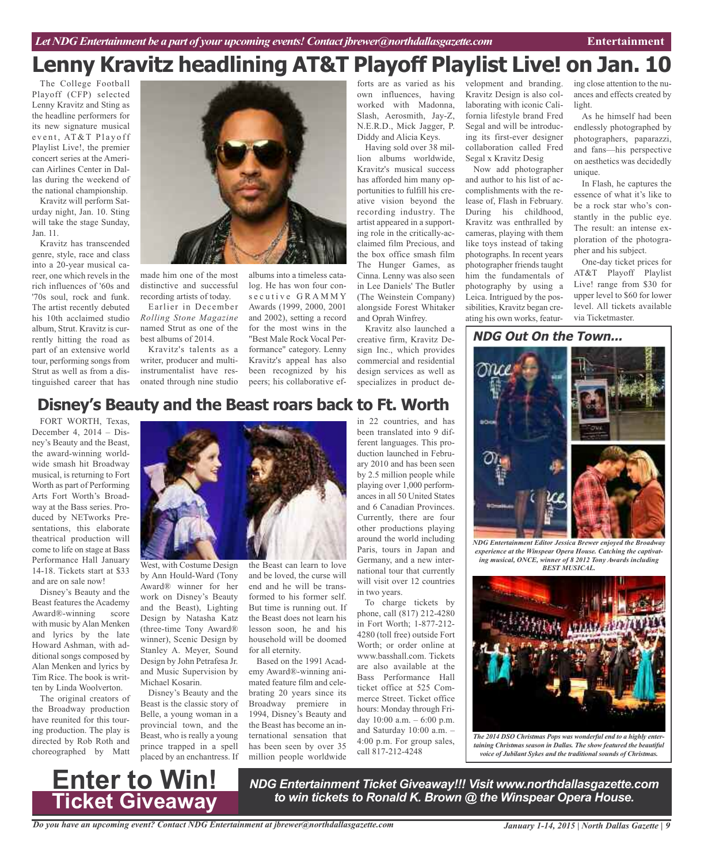## **Lenny Kravitz headlining AT&T Playoff Playlist Live! on Jan. 10**

The College Football Playoff (CFP) selected Lenny Kravitz and Sting as the headline performers for its new signature musical event, AT&T Playoff Playlist Live!, the premier concert series at the American Airlines Center in Dallas during the weekend of the national championship.

Kravitz will perform Saturday night, Jan. 10. Sting will take the stage Sunday, Jan. 11.

Kravitz has transcended genre, style, race and class into a 20-year musical career, one which revels in the rich influences of '60s and '70s soul, rock and funk. The artist recently debuted his 10th acclaimed studio album, Strut. Kravitz is currently hitting the road as part of an extensive world tour, performing songs from Strut as well as from a distinguished career that has



made him one of the most distinctive and successful recording artists of today.

Earlier in December *Rolling Stone Magazine* named Strut as one of the best albums of 2014.

Kravitz's talents as a writer, producer and multiinstrumentalist have resonated through nine studio

albums into a timeless catalog. He has won four cons e cutive GRAMMY Awards (1999, 2000, 2001 and 2002), setting a record for the most wins in the "Best Male Rock Vocal Performance" category. Lenny Kravitz's appeal has also been recognized by his peers; his collaborative ef-

forts are as varied as his own influences, having worked with Madonna, Slash, Aerosmith, Jay-Z, N.E.R.D., Mick Jagger, P. Diddy and Alicia Keys.

Having sold over 38 million albums worldwide, Kravitz's musical success has afforded him many opportunities to fulfill his creative vision beyond the recording industry. The artist appeared in a supporting role in the critically-acclaimed film Precious, and the box office smash film The Hunger Games, as Cinna. Lenny was also seen in Lee Daniels' The Butler (The Weinstein Company) alongside Forest Whitaker and Oprah Winfrey. Kravitz also launched a

creative firm, Kravitz Design Inc., which provides commercial and residential design services as well as specializes in product de-

## **Disney's Beauty and the Beast roars back to Ft. Worth**

FORT WORTH, Texas, December 4, 2014 – Disney's Beauty and the Beast, the award-winning worldwide smash hit Broadway musical, is returning to Fort Worth as part of Performing Arts Fort Worth's Broadway at the Bass series. Produced by NETworks Presentations, this elaborate theatrical production will come to life on stage at Bass Performance Hall January 14-18. Tickets start at \$33 and are on sale now!

Disney's Beauty and the Beast features the Academy Award®-winning score with music by Alan Menken and lyrics by the late Howard Ashman, with additional songs composed by Alan Menken and lyrics by Tim Rice. The book is written by Linda Woolverton.

The original creators of the Broadway production have reunited for this touring production. The play is directed by Rob Roth and choreographed by Matt



West, with Costume Design by Ann Hould-Ward (Tony Award® winner for her work on Disney's Beauty and the Beast), Lighting Design by Natasha Katz (three-time Tony Award® winner), Scenic Design by Stanley A. Meyer, Sound Design by John Petrafesa Jr. and Music Supervision by Michael Kosarin.

Disney's Beauty and the Beast is the classic story of Belle, a young woman in a provincial town, and the Beast, who is really a young prince trapped in a spell placed by an enchantress. If

the Beast can learn to love and be loved, the curse will end and he will be transformed to his former self. But time is running out. If the Beast does not learn his lesson soon, he and his household will be doomed for all eternity.

Based on the 1991 Academy Award®-winning animated feature film and celebrating 20 years since its Broadway premiere in 1994, Disney's Beauty and the Beast has become an international sensation that has been seen by over 35 million people worldwide

in 22 countries, and has been translated into 9 different languages. This production launched in February 2010 and has been seen by 2.5 million people while playing over 1,000 performances in all 50 United States and 6 Canadian Provinces. Currently, there are four other productions playing around the world including Paris, tours in Japan and Germany, and a new international tour that currently will visit over 12 countries in two years.

To charge tickets by phone, call (817) 212-4280 in Fort Worth; 1-877-212- 4280 (toll free) outside Fort Worth; or order online at www.basshall.com. Tickets are also available at the Bass Performance Hall ticket office at 525 Commerce Street. Ticket office hours: Monday through Friday 10:00 a.m. – 6:00 p.m. and Saturday 10:00 a.m. – 4:00 p.m. For group sales, call 817-212-4248

velopment and branding. Kravitz Design is also collaborating with iconic California lifestyle brand Fred Segal and will be introducing its first-ever designer collaboration called Fred Segal x Kravitz Desig

Now add photographer and author to his list of accomplishments with the release of, Flash in February. During his childhood, Kravitz was enthralled by cameras, playing with them like toys instead of taking photographs. In recent years photographer friends taught him the fundamentals of photography by using a Leica. Intrigued by the possibilities, Kravitz began creating his own works, featur-

ing close attention to the nuances and effects created by light.

As he himself had been endlessly photographed by photographers, paparazzi, and fans—his perspective on aesthetics was decidedly unique.

In Flash, he captures the essence of what it's like to be a rock star who's constantly in the public eye. The result: an intense exploration of the photographer and his subject.

One-day ticket prices for AT&T Playoff Playlist Live! range from \$30 for upper level to \$60 for lower level. All tickets available via Ticketmaster.

#### **NDG Out On the Town...**



*NDG Entertainment Editor Jessica Brewer enjoyed the Broadway experience at the Winspear Opera House. Catching the captivating musical, ONCE, winner of 8 2012 Tony Awards including BEST MUSICAL.*



*taining Christmas season in Dallas. The show featured the beautiful voice of Jubilant Sykes and the traditional sounds of Christmas.*

**Enter to Win! Ticket Giveaway**

*NDG Entertainment Ticket Giveaway!!! Visit www.northdallasgazette.com to win tickets to Ronald K. Brown @ the Winspear Opera House.*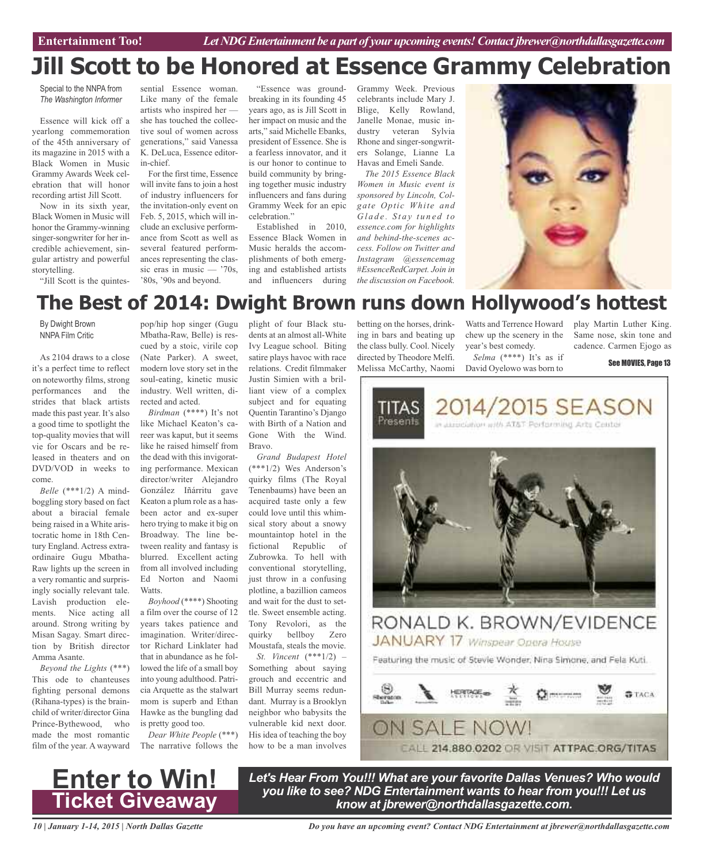## **Jill Scott to be Honored at Essence Grammy Celebration**

Special to the NNPA from *The Washington Informer*

Essence will kick off a yearlong commemoration of the 45th anniversary of its magazine in 2015 with a Black Women in Music Grammy Awards Week celebration that will honor recording artist Jill Scott.

Now in its sixth year, Black Women in Music will honor the Grammy-winning singer-songwriter for her incredible achievement, singular artistry and powerful storytelling.

"Jill Scott is the quintes-

sential Essence woman. Like many of the female artists who inspired her she has touched the collective soul of women across generations," said Vanessa K. DeLuca, Essence editorin-chief.

For the first time, Essence will invite fans to join a host of industry influencers for the invitation-only event on Feb. 5, 2015, which will include an exclusive performance from Scott as well as several featured performances representing the classic eras in music — '70s, '80s, '90s and beyond.

"Essence was groundbreaking in its founding 45 years ago, as is Jill Scott in her impact on music and the arts," said Michelle Ebanks, president of Essence. She is a fearless innovator, and it is our honor to continue to build community by bringing together music industry influencers and fans during Grammy Week for an epic celebration."

Established in 2010, Essence Black Women in Music heralds the accomplishments of both emerging and established artists and influencers during

Grammy Week. Previous celebrants include Mary J. Blige, Kelly Rowland, Janelle Monae, music industry veteran Sylvia Rhone and singer-songwriters Solange, Lianne La Havas and Emeli Sande.

*The 2015 Essence Black Women in Music event is sponsored by Lincoln, Colgate Optic White and G l a d e . S t a y t u n e d t o essence.com for highlights and behind-the-scenes access. Follow on Twitter and Instagram @essencemag #EssenceRedCarpet. Join in the discussion on Facebook.*



## **The Best of 2014: Dwight Brown runs down Hollywood's hottest**

By Dwight Brown NNPA Film Critic

As 2104 draws to a close it's a perfect time to reflect on noteworthy films, strong performances and the strides that black artists made this past year. It's also a good time to spotlight the top-quality movies that will vie for Oscars and be released in theaters and on DVD/VOD in weeks to come.

*Belle* (\*\*\*1/2) A mindboggling story based on fact about a biracial female being raised in a White aristocratic home in 18th Century England. Actress extraordinaire Gugu Mbatha-Raw lights up the screen in a very romantic and surprisingly socially relevant tale. Lavish production elements. Nice acting all around. Strong writing by Misan Sagay. Smart direction by British director Amma Asante.

*Beyond the Lights* (\*\*\*) This ode to chanteuses fighting personal demons (Rihana-types) is the brainchild of writer/director Gina Prince-Bythewood, who made the most romantic film of the year. A wayward

pop/hip hop singer (Gugu Mbatha-Raw, Belle) is rescued by a stoic, virile cop (Nate Parker). A sweet, modern love story set in the soul-eating, kinetic music industry. Well written, directed and acted.

*Birdman* (\*\*\*\*) It's not like Michael Keaton's career was kaput, but it seems like he raised himself from the dead with this invigorating performance. Mexican director/writer Alejandro González Iñárritu gave Keaton a plum role as a hasbeen actor and ex-super hero trying to make it big on Broadway. The line between reality and fantasy is blurred. Excellent acting from all involved including Ed Norton and Naomi **Watts** 

*Boyhood* (\*\*\*\*) Shooting a film over the course of 12 years takes patience and imagination. Writer/director Richard Linklater had that in abundance as he followed the life of a small boy into young adulthood. Patricia Arquette as the stalwart mom is superb and Ethan Hawke as the bungling dad is pretty good too.

*Dear White People* (\*\*\*) The narrative follows the plight of four Black students at an almost all-White Ivy League school. Biting satire plays havoc with race relations. Credit filmmaker Justin Simien with a brilliant view of a complex subject and for equating Quentin Tarantino's Django with Birth of a Nation and Gone With the Wind. Bravo.

*Grand Budapest Hotel* (\*\*\*1/2) Wes Anderson's quirky films (The Royal Tenenbaums) have been an acquired taste only a few could love until this whimsical story about a snowy mountaintop hotel in the fictional Republic of Zubrowka. To hell with conventional storytelling, just throw in a confusing plotline, a bazillion cameos and wait for the dust to settle. Sweet ensemble acting. Tony Revolori, as the quirky bellboy Zero Moustafa, steals the movie.

*St. Vincent* (\*\*\*1/2) – Something about saying grouch and eccentric and Bill Murray seems redundant. Murray is a Brooklyn neighbor who babysits the vulnerable kid next door. His idea of teaching the boy how to be a man involves betting on the horses, drinking in bars and beating up the class bully. Cool. Nicely directed by Theodore Melfi. Melissa McCarthy, Naomi

Watts and Terrence Howard chew up the scenery in the year's best comedy.

*Selma* (\*\*\*\*) It's as if David Oyelowo was born to

play Martin Luther King. Same nose, skin tone and cadence. Carmen Ejogo as

See MOVIES, Page 13



**EALL 214.880.0202 OR VISIT ATTPAC.ORG/TITAS** 



*Let's Hear From You!!! What are your favorite Dallas Venues? Who would you like to see? NDG Entertainment wants to hear from you!!! Let us know at jbrewer@northdallasgazette.com.*

*10 | January 1-14, 2015 | North Dallas Gazette*

*Do you have an upcoming event? Contact NDG Entertainment at jbrewer@northdallasgazette.com*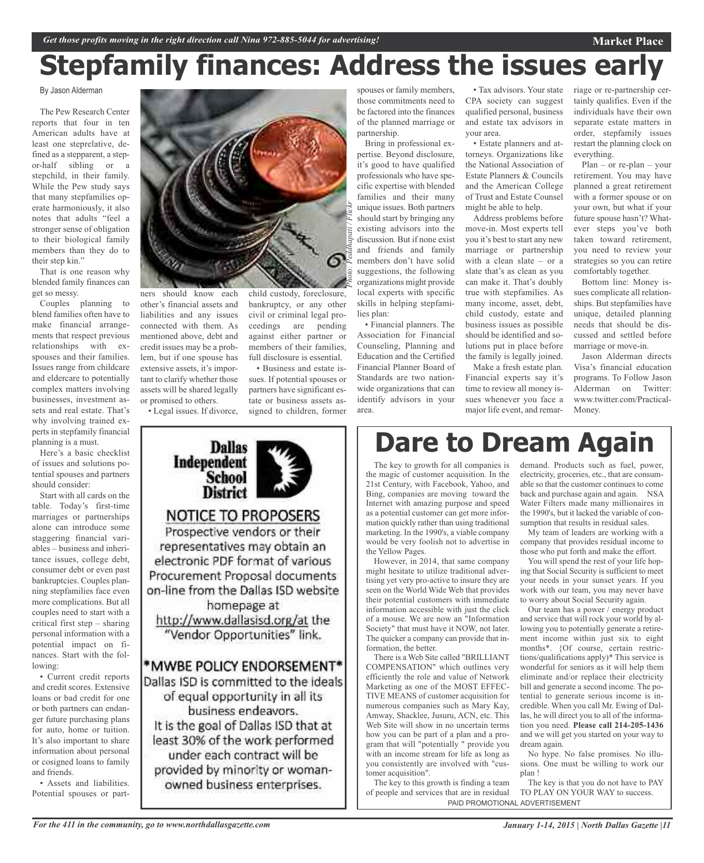# **Stepfamily finances: Address the issues early**

By Jason Alderman

The Pew Research Center reports that four in ten American adults have at least one steprelative, defined as a stepparent, a stepor-half sibling or a stepchild, in their family. While the Pew study says that many stepfamilies operate harmoniously, it also notes that adults "feel a stronger sense of obligation to their biological family members than they do to their step kin."

That is one reason why blended family finances can get so messy.

Couples planning to blend families often have to make financial arrangements that respect previous relationships with exspouses and their families. Issues range from childcare and eldercare to potentially complex matters involving businesses, investment assets and real estate. That's why involving trained experts in stepfamily financial planning is a must.

Here's a basic checklist of issues and solutions potential spouses and partners should consider:

Start with all cards on the table. Today's first-time marriages or partnerships alone can introduce some staggering financial variables – business and inheritance issues, college debt, consumer debt or even past bankruptcies. Couples planning stepfamilies face even more complications. But all couples need to start with a critical first step – sharing personal information with a potential impact on finances. Start with the following:

• Current credit reports and credit scores. Extensive loans or bad credit for one or both partners can endanger future purchasing plans for auto, home or tuition. It's also important to share information about personal or cosigned loans to family and friends.

• Assets and liabilities. Potential spouses or part-



bankruptcy, or any other civil or criminal legal proceedings are pending against either partner or members of their families, full disclosure is essential. • Business and estate issues. If potential spouses or partners have significant estate or business assets assigned to children, former

ners should know each other's financial assets and liabilities and any issues connected with them. As mentioned above, debt and credit issues may be a problem, but if one spouse has extensive assets, it's important to clarify whether those assets will be shared legally or promised to others.

• Legal issues. If divorce,

**Dallas** Independent **School District NOTICE TO PROPOSERS** Prospective vendors or their representatives may obtain an electronic PDF format of various Procurement Proposal documents on-line from the Dallas ISD website homepage at http://www.dallasisd.org/at the "Vendor Opportunities" link. \*MWBE POLICY ENDORSEMENT\* Dallas ISD is committed to the ideals of equal opportunity in all its business endeavors. It is the goal of Dallas ISD that at least 30% of the work performed under each contract will be

provided by minority or womanowned business enterprises.

spouses or family members, those commitments need to be factored into the finances of the planned marriage or partnership.

Bring in professional expertise. Beyond disclosure, it's good to have qualified professionals who have specific expertise with blended families and their many unique issues. Both partners should start by bringing any existing advisors into the discussion. But if none exist and friends and family members don't have solid suggestions, the following organizations might provide local experts with specific skills in helping stepfamilies plan:

• Financial planners. The Association for Financial Counseling, Planning and Education and the Certified Financial Planner Board of Standards are two nationwide organizations that can identify advisors in your area.

• Tax advisors. Your state CPA society can suggest qualified personal, business and estate tax advisors in your area.

• Estate planners and attorneys. Organizations like the National Association of Estate Planners & Councils and the American College of Trust and Estate Counsel might be able to help.

Address problems before move-in. Most experts tell you it's best to start any new marriage or partnership with a clean slate – or a slate that's as clean as you can make it. That's doubly true with stepfamilies. As many income, asset, debt, child custody, estate and business issues as possible should be identified and solutions put in place before the family is legally joined.

Make a fresh estate plan. Financial experts say it's time to review all money issues whenever you face a major life event, and remarriage or re-partnership certainly qualifies. Even if the individuals have their own separate estate matters in order, stepfamily issues restart the planning clock on everything.

**Market Place**

Plan – or re-plan – your retirement. You may have planned a great retirement with a former spouse or on your own, but what if your future spouse hasn't? Whatever steps you've both taken toward retirement, you need to review your strategies so you can retire comfortably together.

Bottom line: Money issues complicate all relationships. But stepfamilies have unique, detailed planning needs that should be discussed and settled before marriage or move-in.

Jason Alderman directs Visa's financial education programs. To Follow Jason Alderman on Twitter: www.twitter.com/Practical-Money.

## **Dare to Dream Again**

The key to growth for all companies is the magic of customer acquisition. In the 21st Century, with Facebook, Yahoo, and Bing, companies are moving toward the Internet with amazing purpose and speed as a potential customer can get more information quickly rather than using traditional marketing. In the 1990's, a viable company would be very foolish not to advertise in the Yellow Pages.

However, in 2014, that same company might hesitate to utilize traditional advertising yet very pro-active to insure they are seen on the World Wide Web that provides their potential customers with immediate information accessible with just the click of a mouse. We are now an "Information Society" that must have it NOW, not later. The quicker a company can provide that information, the better.

There is a Web Site called "BRILLIANT COMPENSATION" which outlines very efficiently the role and value of Network Marketing as one of the MOST EFFEC-TIVE MEANS of customer acquisition for numerous companies such as Mary Kay, Amway, Shacklee, Jusuru, ACN, etc. This Web Site will show in no uncertain terms how you can be part of a plan and a program that will "potentially " provide you with an income stream for life as long as you consistently are involved with "customer acquisition".

The key to this growth is finding a team of people and services that are in residual PAID PROMOTIONAL ADVERTISEMENT

demand. Products such as fuel, power, electricity, groceries, etc., that are consumable so that the customer continues to come back and purchase again and again. NSA Water Filters made many millionaires in the 1990's, but it lacked the variable of consumption that results in residual sales.

My team of leaders are working with a company that provides residual income to those who put forth and make the effort.

You will spend the rest of your life hoping that Social Security is sufficient to meet your needs in your sunset years. If you work with our team, you may never have to worry about Social Security again.

Our team has a power / energy product and service that will rock your world by allowing you to potentially generate a retirement income within just six to eight months\*. {Of course, certain restrictions/qualifications apply)\* This service is wonderful for seniors as it will help them eliminate and/or replace their electricity bill and generate a second income. The potential to generate serious income is incredible. When you call Mr. Ewing of Dallas, he will direct you to all of the information you need. **Please call 214-205-1436** and we will get you started on your way to dream again.

No hype. No false promises. No illusions. One must be willing to work our plan !

The key is that you do not have to PAY TO PLAY ON YOUR WAY to success.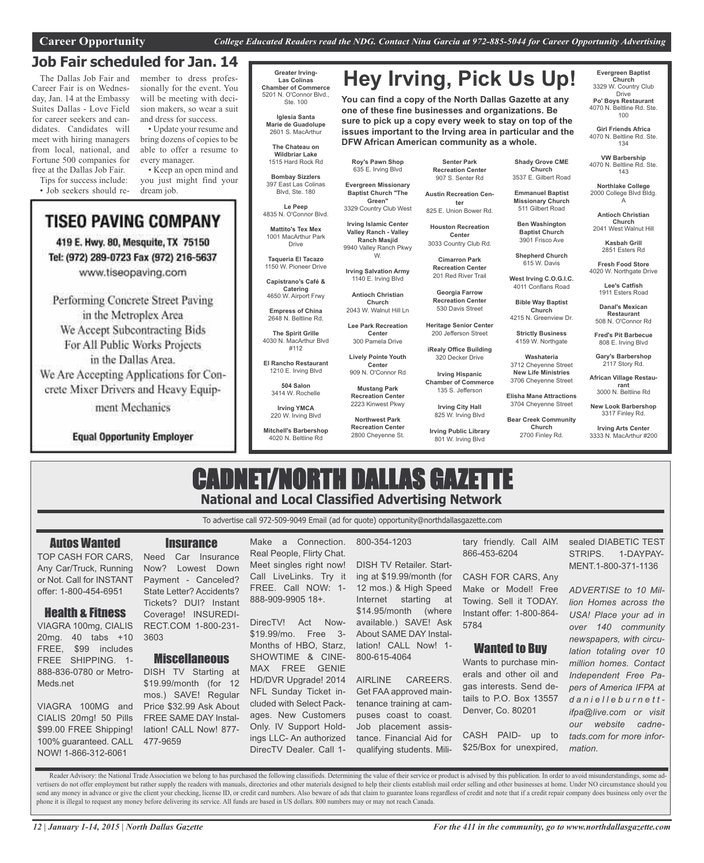**DFW African American community as a whole.**

### **Job Fair scheduled for Jan. 14**

The Dallas Job Fair and Career Fair is on Wednesday, Jan. 14 at the Embassy Suites Dallas - Love Field for career seekers and candidates. Candidates will meet with hiring managers from local, national, and Fortune 500 companies for free at the Dallas Job Fair.

Tips for success include: • Job seekers should remember to dress professionally for the event. You will be meeting with decision makers, so wear a suit and dress for success.

• Update your resume and bring dozens of copies to be able to offer a resume to every manager.

• Keep an open mind and you just might find your dream job.

## **TISEO PAVING COMPANY**

419 E. Hwy. 80, Mesquite, TX 75150 Tel: (972) 289-0723 Fax (972) 216-5637 www.tiseopaving.com

Performing Concrete Street Paving in the Metroplex Area We Accept Subcontracting Bids For All Public Works Projects in the Dallas Area.

We Are Accepting Applications for Concrete Mixer Drivers and Heavy Equip-

ment Mechanics

**Equal Opportunity Employer** 

#### **Greater Irving-Las Colinas Chamber of Commerce** 5201 N. O'Connor Blvd., Ste. 100

**Iglesia Santa Marie de Guadolupe** 2601 S. MacArthur

**The Chateau on Wildbriar Lake** 1515 Hard Rock Rd

**Bombay Sizzlers** 397 East Las Colinas

Blvd, Ste. 180 **Le Peep** 4835 N. O'Connor Blvd.

**Mattito's Tex Mex** 1001 MacArthur Park Drive

**Taqueria El Tacazo** 1150 W. Pioneer Drive

**Capistrano's Café & Catering** 4650 W. Airport Frwy

**Empress of China** 2648 N. Beltline Rd.

**The Spirit Grille** 4030 N. MacArthur Blvd #112

**El Rancho Restaurant** 1210 E. Irving Blvd **Lively Pointe Youth**

**504 Salon** 3414 W. Rochelle

**Irving YMCA** 220 W. Irving Blvd

**Mitchell's Barbershop** 4020 N. Beltline Rd

**Senter Park Recreation Center** 907 S. Senter Rd

**Hey Irving, Pick Us Up!**

**You can find a copy of the North Dallas Gazette at any one of these fine businesses and organizations. Be sure to pick up a copy every week to stay on top of the issues important to the Irving area in particular and the**

3329 Country Club West **Austin Recreation Center** 825 E. Union Bower Rd.

> **Houston Recreation Center** 3033 Country Club Rd.

> > **Cimarron Park Recreation Center** 201 Red River Trail

**Georgia Farrow Recreation Center** 530 Davis Street

**Heritage Senior Center** 200 Jefferson Street

**iRealy Office Building** 320 Decker Drive

**Chamber of Commerce**

**Irving City Hall**

**Irving Public Library** 801 W. Irving Blvd

**Shady Grove CME Church** 3537 E. Gilbert Road

**Emmanuel Baptist Missionary Church** 511 Gilbert Road

**Ben Washington Baptist Church** 3901 Frisco Ave

**Shepherd Church** 615 W. Davis

**West Irving C.O.G.I.C.**

**Church** 4215 N. Greenview Dr. **Strictly Business** 4159 W. Northgate **Washateria** 3712 Cheyenne Street **New Life Ministries** 3706 Cheyenne Street **Elisha Mane Attractions** 3704 Cheyenne Street **Bear Creek Community Church** 2700 Finley Rd.

4011 Conflans Road **Bible Way Baptist**

**Danal's Mexican Restaurant** 508 N. O'Connor Rd

**Fred's Pit Barbecue** 808 E. Irving Blvd

**Evergreen Baptist Church** 3329 W. Country Club Drive **Po' Boys Restaurant** 4070 N. Beltline Rd. Ste. 100 **Girl Friends Africa** 4070 N. Beltline Rd. Ste. 134 **VW Barbership** 4070 N. Beltline Rd. Ste. 143 **Northlake College** 2000 College Blvd Bldg. A **Antioch Christian Church** 2041 West Walnut Hill **Kasbah Grill** 2851 Esters Rd **Fresh Food Store** 4020 W. Northgate Drive **Lee's Catfish** 1911 Esters Road

**Gary's Barbershop** 2117 Story Rd.

**African Village Restaurant** 3000 N. Beltline Rd

**New Look Barbershop** 3317 Finley Rd.

**Irving Arts Center** 3333 N. MacArthur #200

## CADNET/NORTH DALLAS GAZETTE **National and Local Classified Advertising Network**

To advertise call 972-509-9049 Email (ad for quote) opportunity@northdallasgazette.com

#### Autos Wanted

TOP CASH FOR CARS, Any Car/Truck, Running or Not. Call for INSTANT offer: 1-800-454-6951

### Health & Fitness

VIAGRA 100mg, CIALIS 20mg. 40 tabs +10 FREE, \$99 includes FREE SHIPPING. 1- 888-836-0780 or Metro-Meds.net

VIAGRA 100MG and CIALIS 20mg! 50 Pills \$99.00 FREE Shipping! 100% guaranteed. CALL NOW! 1-866-312-6061

## **Insurance**

Need Car Insurance Now? Lowest Down Payment - Canceled? State Letter? Accidents? Tickets? DUI? Instant Coverage! INSUREDI-RECT.COM 1-800-231- 3603

#### **Miscellaneous**

DISH TV Starting at \$19.99/month (for 12 mos.) SAVE! Regular Price \$32.99 Ask About FREE SAME DAY Installation! CALL Now! 877- 477-9659

Make a Connection. Real People, Flirty Chat. Meet singles right now! Call LiveLinks. Try it FREE. Call NOW: 1- 888-909-9905 18+.

DirecTV! Act Now- \$19.99/mo. Free 3- Months of HBO, Starz, SHOWTIME & CINE-MAX FREE GENIE HD/DVR Upgrade! 2014 NFL Sunday Ticket included with Select Packages. New Customers Only. IV Support Holdings LLC- An authorized DirecTV Dealer. Call 1-

#### 800-354-1203

DISH TV Retailer. Starting at \$19.99/month (for 12 mos.) & High Speed Internet starting at \$14.95/month (where available.) SAVE! Ask About SAME DAY Installation! CALL Now! 1- 800-615-4064

AIRLINE CAREERS. Get FAA approved maintenance training at campuses coast to coast. Job placement assistance. Financial Aid for qualifying students. Military friendly. Call AIM 866-453-6204

CASH FOR CARS, Any Make or Model! Free Towing. Sell it TODAY. Instant offer: 1-800-864- 5784

#### Wanted to Buy

Wants to purchase minerals and other oil and gas interests. Send details to P.O. Box 13557 Denver, Co. 80201

CASH PAID- up to \$25/Box for unexpired, sealed DIABETIC TEST STRIPS. 1-DAYPAY-MENT.1-800-371-1136

*ADVERTISE to 10 Million Homes across the USA! Place your ad in over 140 community newspapers, with circulation totaling over 10 million homes. Contact Independent Free Papers of America IFPA at d a n i e l l e b u r n e t t ifpa@live.com or visit our website cadnetads.com for more information*.

Reader Advisory: the National Trade Association we belong to has purchased the following classifieds. Determining the value of their service or product is advised by this publication. In order to avoid misunderstandings, s vertisers do not offer employment but rather supply the readers with manuals, directories and other materials designed to help their clients establish mail order selling and other businesses at home. Under NO circumstance send any money in advance or give the client your checking, license ID, or credit card numbers. Also beware of ads that claim to guarantee loans regardless of credit and note that if a credit repair company does business o phone it is illegal to request any money before delivering its service. All funds are based in US dollars. 800 numbers may or may not reach Canada.

**Northwest Park Recreation Center** 2800 Cheyenne St.

**Irving Salvation Army** 1140 E. Irving Blvd **Antioch Christian Church** 2043 W. Walnut Hill Ln

**Roy's Pawn Shop** 635 E. Irving Blvd **Evergreen Missionary Baptist Church "The Green"**

**Irving Islamic Center Valley Ranch - Valley Ranch Masjid** 9940 Valley Ranch Pkwy W.

**Center**

300 Pamela Drive

**Irving Hispanic**

**Lee Park Recreation**

135 S. Jefferson

825 W. Irving Blvd

**Center** 909 N. O'Connor Rd **Mustang Park Recreation Center** 2223 Kinwest Pkwy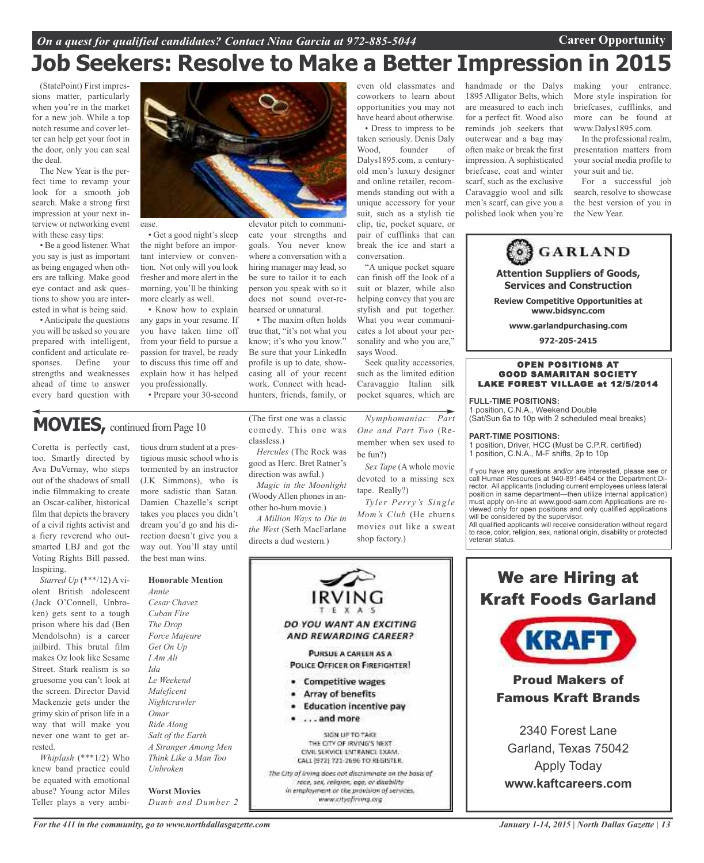## **Job Seekers: Resolve to Make a Better Impression in 2015**

(StatePoint) First impressions matter, particularly when you're in the market for a new job. While a top notch resume and cover letter can help get your foot in the door, only you can seal the deal.

The New Year is the perfect time to revamp your look for a smooth job search. Make a strong first impression at your next interview or networking event with these easy tips:

• Be a good listener. What you say is just as important as being engaged when others are talking. Make good eye contact and ask questions to show you are interested in what is being said.

• Anticipate the questions you will be asked so you are prepared with intelligent, confident and articulate responses. Define your strengths and weaknesses ahead of time to answer every hard question with



• Get a good night's sleep the night before an important interview or convention. Not only will you look fresher and more alert in the morning, you'll be thinking more clearly as well. goals. You never know where a conversation with a hiring manager may lead, so be sure to tailor it to each person you speak with so it

• Know how to explain any gaps in your resume. If you have taken time off from your field to pursue a passion for travel, be ready to discuss this time off and explain how it has helped you professionally.

• Prepare your 30-second

## **MOVIES,** continued from Page <sup>10</sup>

Coretta is perfectly cast, too. Smartly directed by Ava DuVernay, who steps out of the shadows of small indie filmmaking to create an Oscar-caliber, historical film that depicts the bravery of a civil rights activist and a fiery reverend who outsmarted LBJ and got the Voting Rights Bill passed. Inspiring.

*Starred Up* (\*\*\*/12) A violent British adolescent (Jack O'Connell, Unbroken) gets sent to a tough prison where his dad (Ben Mendolsohn) is a career jailbird. This brutal film makes Oz look like Sesame Street. Stark realism is so gruesome you can't look at the screen. Director David Mackenzie gets under the grimy skin of prison life in a way that will make you never one want to get arrested.

*Whiplash* (\*\*\*1/2) Who knew band practice could be equated with emotional abuse? Young actor Miles Teller plays a very ambi-

tious drum student at a prestigious music school who is tormented by an instructor (J.K Simmons), who is more sadistic than Satan. Damien Chazelle's script takes you places you didn't dream you'd go and his direction doesn't give you a way out. You'll stay until the best man wins.

#### **Honorable Mention**

*Annie Cesar Chavez Cuban Fire The Drop Force Majeure Get On Up I Am Ali Ida Le Weekend Maleficent Nightcrawler Omar Ride Along Salt of the Earth A Stranger Among Men Think Like a Man Too Unbroken*

**Worst Movies** *Dumb and Dumber 2*

*For the 411 in the community, go to www.northdallasgazette.com*

(The first one was a classic comedy. This one was classless.)

does not sound over-rehearsed or unnatural.

• The maxim often holds true that, "it's not what you know; it's who you know." Be sure that your LinkedIn profile is up to date, showcasing all of your recent work. Connect with headhunters, friends, family, or

*Hercules* (The Rock was good as Herc. Bret Ratner's direction was awful.)

*Magic in the Moonlight* (Woody Allen phones in another ho-hum movie.) *A Million Ways to Die in the West* (Seth MacFarlane

directs a dud western.)

even old classmates and coworkers to learn about opportunities you may not have heard about otherwise. • Dress to impress to be

taken seriously. Denis Daly Wood, founder of Dalys1895.com, a centuryold men's luxury designer and online retailer, recommends standing out with a unique accessory for your suit, such as a stylish tie clip, tie, pocket square, or pair of cufflinks that can break the ice and start a conversation.

"A unique pocket square can finish off the look of a suit or blazer, while also helping convey that you are stylish and put together. What you wear communicates a lot about your personality and who you are," says Wood.

Seek quality accessories, such as the limited edition Caravaggio Italian silk pocket squares, which are

*Nymphomaniac: Part One and Part Two* (Remember when sex used to be fun?)

*Sex Tape* (A whole movie devoted to a missing sex tape. Really?)

*Tyler Perry's Single Mom's Club* (He churns movies out like a sweat shop factory.)



handmade or the Dalys 1895 Alligator Belts, which are measured to each inch for a perfect fit. Wood also reminds job seekers that outerwear and a bag may often make or break the first impression. A sophisticated briefcase, coat and winter scarf, such as the exclusive Caravaggio wool and silk men's scarf, can give you a polished look when you're

making your entrance. More style inspiration for briefcases, cufflinks, and more can be found at www.Dalys1895.com.

In the professional realm, presentation matters from your social media profile to your suit and tie.

For a successful job search, resolve to showcase the best version of you in the New Year.



**PART-TIME POSITIONS:**

1 position, Driver, HCC (Must be C.P.R. certified) 1 position, C.N.A., M-F shifts, 2p to 10p

If you have any questions and/or are interested, please see or call Human Resources at 940-891-6454 or the Department Director. All applicants (including current employees unless lateral position in same department—then utilize internal application) must apply on-line at www.good-sam.com Applications are reviewed only for open positions and only qualified applications will be considered by the supervisor.

All qualified applicants will receive consideration without regard to race, color, religion, sex, national origin, disability or protected veteran status.

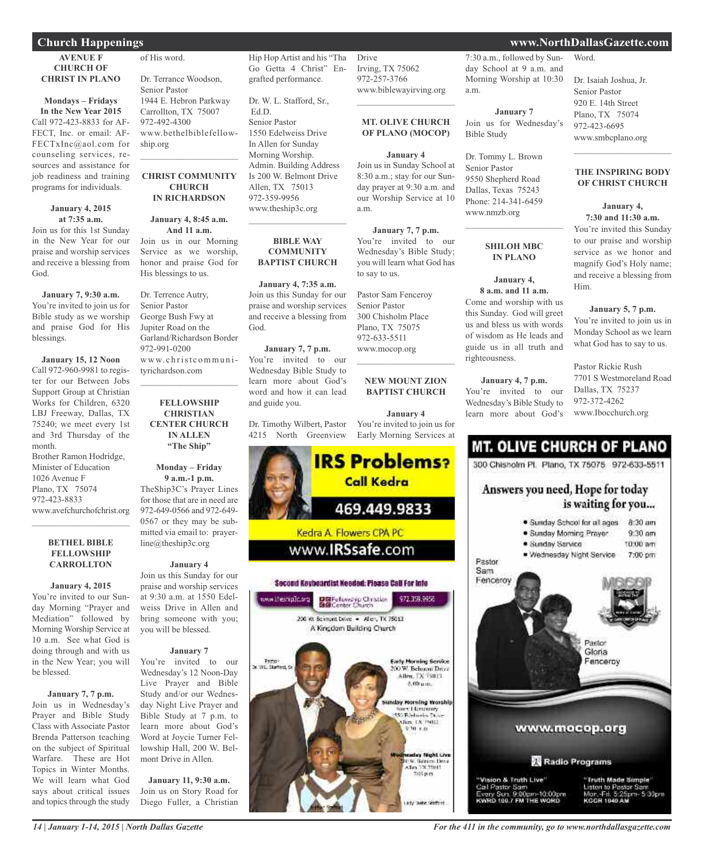#### **AVENUE F CHURCH OF CHRIST IN PLANO**

#### **Mondays – Fridays In the New Year 2015**

Call 972-423-8833 for AF-FECT, Inc. or email: AF-FECTxInc@aol.com for counseling services, resources and assistance for job readiness and training programs for individuals.

#### **January 4, 2015 at 7:35 a.m.**

Join us for this 1st Sunday in the New Year for our praise and worship services and receive a blessing from God.

#### **January 7, 9:30 a.m.**

You're invited to join us for Bible study as we worship and praise God for His blessings.

#### **January 15, 12 Noon**

Call 972-960-9981 to register for our Between Jobs Support Group at Christian Works for Children, 6320 LBJ Freeway, Dallas, TX 75240; we meet every 1st and 3rd Thursday of the month.

Brother Ramon Hodridge, Minister of Education 1026 Avenue F Plano, TX 75074 972-423-8833 www.avefchurchofchrist.org

#### **BETHEL BIBLE FELLOWSHIP CARROLLTON**

 $\mathcal{L}_\text{max}$  , which is a set of the set of the set of the set of the set of the set of the set of the set of the set of the set of the set of the set of the set of the set of the set of the set of the set of the set of

#### **January 4, 2015** You're invited to our Sunday Morning "Prayer and Mediation" followed by Morning Worship Service at

10 a.m. See what God is doing through and with us in the New Year; you will be blessed.

#### **January 7, 7 p.m.**

Join us in Wednesday's Prayer and Bible Study Class with Associate Pastor Brenda Patterson teaching on the subject of Spiritual Warfare. These are Hot Topics in Winter Months. We will learn what God says about critical issues and topics through the study

of His word. Dr. Terrance Woodson, Senior Pastor

1944 E. Hebron Parkway Carrollton, TX 75007 972-492-4300 www.bethelbiblefellowship.org  $\mathcal{L}_\text{max}$  and  $\mathcal{L}_\text{max}$  and  $\mathcal{L}_\text{max}$ 

#### **CHRIST COMMUNITY CHURCH IN RICHARDSON**

## **January 4, 8:45 a.m.**

**And 11 a.m.** Join us in our Morning Service as we worship, honor and praise God for His blessings to us.

Dr. Terrence Autry, Senior Pastor George Bush Fwy at Jupiter Road on the Garland/Richardson Border 972-991-0200 www. c h rist c ommu n ityrichardson.com  $\mathcal{L}_\text{max}$  , which is a set of the set of the set of the set of the set of the set of the set of the set of the set of the set of the set of the set of the set of the set of the set of the set of the set of the set of

#### **FELLOWSHIP CHRISTIAN CENTER CHURCH IN ALLEN "The Ship"**

**Monday – Friday 9 a.m.-1 p.m.** TheShip3C's Prayer Lines for those that are in need are 972-649-0566 and 972-649- 0567 or they may be submitted via email to: prayerline@theship3c.org

#### **January 4**

Join us this Sunday for our praise and worship services at 9:30 a.m. at 1550 Edelweiss Drive in Allen and bring someone with you; you will be blessed.

#### **January 7**

You're invited to our Wednesday's 12 Noon-Day Live Prayer and Bible Study and/or our Wednesday Night Live Prayer and Bible Study at 7 p.m. to learn more about God's Word at Joycie Turner Fellowship Hall, 200 W. Belmont Drive in Allen.

**January 11, 9:30 a.m.** Join us on Story Road for Diego Fuller, a Christian Hip Hop Artist and his "Tha Go Getta 4 Christ" Engrafted performance.

Dr. W. L. Stafford, Sr., Ed.D. Senior Pastor 1550 Edelweiss Drive In Allen for Sunday Morning Worship. Admin. Building Address Is 200 W. Belmont Drive Allen, TX 75013 972-359-9956 www.theship3c.org  $\overline{\phantom{a}}$  , and the set of the set of the set of the set of the set of the set of the set of the set of the set of the set of the set of the set of the set of the set of the set of the set of the set of the set of the s

#### **BIBLE WAY COMMUNITY BAPTIST CHURCH**

**January 4, 7:35 a.m.** Join us this Sunday for our praise and worship services and receive a blessing from God.

#### **January 7, 7 p.m.** You're invited to our Wednesday Bible Study to learn more about God's word and how it can lead and guide you.

Dr. Timothy Wilbert, Pastor 4215 North Greenview



#### Drive Irving, TX 75062 972-257-3766 www.biblewayirving.org

#### **MT. OLIVE CHURCH OF PLANO (MOCOP)**

 $\mathcal{L}=\mathcal{L}^{\mathcal{L}}$  , where  $\mathcal{L}^{\mathcal{L}}$  , we have the set of the set of the set of the set of the set of the set of the set of the set of the set of the set of the set of the set of the set of the set of the set of

#### **January 4**

Join us in Sunday School at 8:30 a.m.; stay for our Sunday prayer at 9:30 a.m. and our Worship Service at 10 a.m.

You're invited to our Wednesday's Bible Study; you will learn what God has to say to us.

Pastor Sam Fenceroy Senior Pastor 300 Chisholm Place Plano, TX 75075 972-633-5511 www.mocop.org

#### **NEW MOUNT ZION BAPTIST CHURCH**

You're invited to join us for Early Morning Services at



**January 7, 7 p.m.**

 $\mathcal{L}$  , and the set of the set of the set of the set of the set of the set of the set of the set of the set of the set of the set of the set of the set of the set of the set of the set of the set of the set of the set

**January 4**

7:30 a.m., followed by Sunday School at 9 a.m. and Morning Worship at 10:30 a.m.

#### **January 7** Join us for Wednesday's Bible Study

Dr. Tommy L. Brown Senior Pastor 9550 Shepherd Road Dallas, Texas 75243 Phone: 214-341-6459 www.nmzb.org

### **SHILOH MBC IN PLANO**

 $\mathcal{L}_\text{max}$  , which is a set of the set of the set of the set of the set of the set of the set of the set of the set of the set of the set of the set of the set of the set of the set of the set of the set of the set of

**January 4, 8 a.m. and 11 a.m.** Come and worship with us this Sunday. God will greet us and bless us with words of wisdom as He leads and guide us in all truth and

**January 4, 7 p.m.** You're invited to our Wednesday's Bible Study to learn more about God's

righteousness.

## Word.

Dr. Isaiah Joshua, Jr. Senior Pastor 920 E. 14th Street Plano, TX 75074 972-423-6695 www.smbcplano.org

#### **THE INSPIRING BODY OF CHRIST CHURCH**

 $\mathcal{L}=\mathcal{L}^{\mathcal{L}}$  , where  $\mathcal{L}^{\mathcal{L}}$  , we have the set of the set of the set of the set of the set of the set of the set of the set of the set of the set of the set of the set of the set of the set of the set of

#### **January 4, 7:30 and 11:30 a.m.** You're invited this Sunday to our praise and worship service as we honor and magnify God's Holy name; and receive a blessing from Him.

**January 5, 7 p.m.** You're invited to join us in Monday School as we learn what God has to say to us.

Pastor Rickie Rush 7701 S Westmoreland Road Dallas, TX 75237 972-372-4262 www.Ibocchurch.org

## **MT. OLIVE CHURCH OF PLANO**

300 Chisholm Pl. Plano, TX 75075 972-633-5511

### Answers you need, Hope for today is waiting for you...



*14 | January 1-14, 2015 | North Dallas Gazette*

### **Church Happenings www.NorthDallasGazette.com**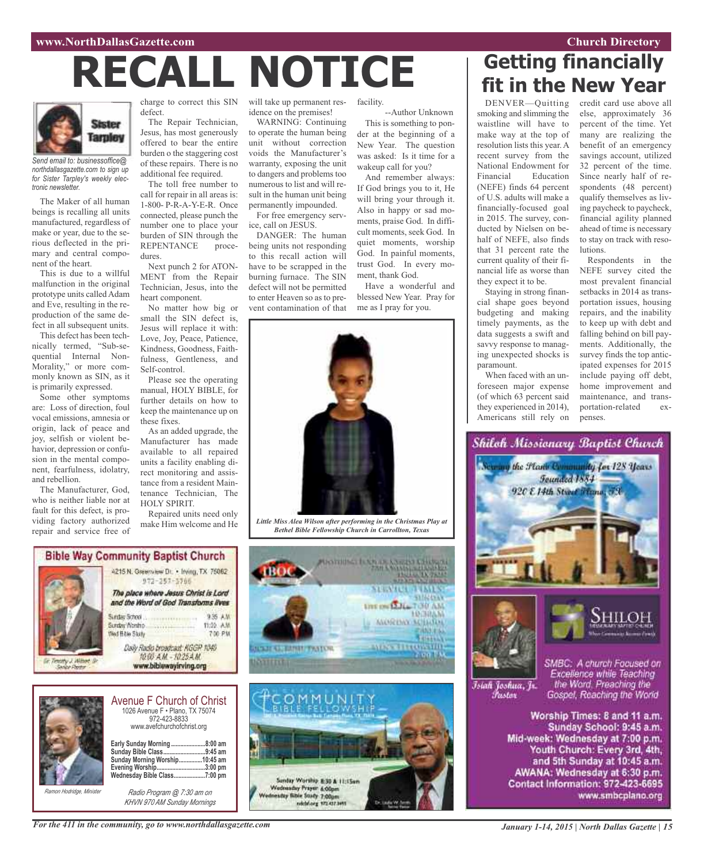#### **www.NorthDallasGazette.com Church Directory**

# **RECALL NOTICE**



*Send email to: businessoffice@ northdallasgazette.com to sign up for Sister Tarpley's weekly electronic newsletter.*

The Maker of all human beings is recalling all units manufactured, regardless of make or year, due to the serious deflected in the primary and central component of the heart.

This is due to a willful malfunction in the original prototype units called Adam and Eve, resulting in the reproduction of the same defect in all subsequent units.

This defect has been technically termed, "Sub-sequential Internal Non-Morality," or more commonly known as SIN, as it is primarily expressed.

Some other symptoms are: Loss of direction, foul vocal emissions, amnesia or origin, lack of peace and joy, selfish or violent behavior, depression or confusion in the mental component, fearfulness, idolatry, and rebellion.

The Manufacturer, God, who is neither liable nor at fault for this defect, is providing factory authorized repair and service free of

charge to correct this SIN defect.

The Repair Technician, Jesus, has most generously offered to bear the entire burden o the staggering cost of these repairs. There is no additional fee required.

The toll free number to call for repair in all areas is: 1-800- P-R-A-Y-E-R. Once connected, please punch the number one to place your burden of SIN through the REPENTANCE procedures.

Next punch 2 for ATON-MENT from the Repair Technician, Jesus, into the heart component.

No matter how big or small the SIN defect is, Jesus will replace it with: Love, Joy, Peace, Patience, Kindness, Goodness, Faithfulness, Gentleness, and Self-control.

Please see the operating manual, HOLY BIBLE, for further details on how to keep the maintenance up on these fixes.

As an added upgrade, the Manufacturer has made available to all repaired units a facility enabling direct monitoring and assistance from a resident Maintenance Technician, The HOLY SPIRIT.

Repaired units need only make Him welcome and He will take up permanent residence on the premises!

WARNING: Continuing to operate the human being unit without correction voids the Manufacturer's warranty, exposing the unit to dangers and problems too numerous to list and will result in the human unit being permanently impounded.

For free emergency service, call on JESUS.

DANGER: The human being units not responding to this recall action will have to be scrapped in the burning furnace. The SIN defect will not be permitted to enter Heaven so as to prevent contamination of that

facility.

--Author Unknown This is something to ponder at the beginning of a New Year. The question was asked: Is it time for a wakeup call for you?

And remember always: If God brings you to it, He will bring your through it. Also in happy or sad moments, praise God. In difficult moments, seek God. In quiet moments, worship God. In painful moments, trust God. In every moment, thank God.

Have a wonderful and blessed New Year. Pray for me as I pray for you.

**SERVICE JUNES** 

**UPE ON LALL TOU AM** 

**MORDAY SCHARM** 

**ALSO STRUGGIO** 

531624545

**HROBBAN** 



*Little Miss Alea Wilson after performing in the Christmas Play at Bethel Bible Fellowship Church in Carrollton, Texas*





|                          | <b>Avenue F Church of Christ</b><br>1026 Avenue F · Plano, TX 75074<br>972-423-8833<br>www.avefchurchofchrist.org |                                                          |  |  |
|--------------------------|-------------------------------------------------------------------------------------------------------------------|----------------------------------------------------------|--|--|
|                          | Early Sunday Morning<br>Sunday Bible Class<br>Sunday Morning Worship<br>Evening Worship<br>Wednesday Bible Class  | .8:00 am<br>.9:45 am<br>.10:45 am<br>3:00 pm<br>.7:00 pm |  |  |
| Ramon Hodridge, Minister | Radio Program @ 7:30 am on                                                                                        |                                                          |  |  |

*Radio Program @ 7:30 am on KHVN 970 AM Sunday Mornings*



**Getting financially fit in the New Year**

DENVER—Quitting smoking and slimming the waistline will have to make way at the top of resolution lists this year. A recent survey from the National Endowment for Financial Education (NEFE) finds 64 percent of U.S. adults will make a financially-focused goal in 2015. The survey, conducted by Nielsen on behalf of NEFE, also finds that 31 percent rate the current quality of their financial life as worse than they expect it to be.

Staying in strong financial shape goes beyond budgeting and making timely payments, as the data suggests a swift and savvy response to managing unexpected shocks is paramount.

When faced with an unforeseen major expense (of which 63 percent said they experienced in 2014), Americans still rely on credit card use above all else, approximately 36 percent of the time. Yet many are realizing the benefit of an emergency savings account, utilized 32 percent of the time. Since nearly half of respondents (48 percent) qualify themselves as living paycheck to paycheck, financial agility planned ahead of time is necessary to stay on track with resolutions.

Respondents in the NEFE survey cited the most prevalent financial setbacks in 2014 as transportation issues, housing repairs, and the inability to keep up with debt and falling behind on bill payments. Additionally, the survey finds the top anticipated expenses for 2015 include paying off debt, home improvement and maintenance, and transportation-related expenses.

## Shiloh Missionary Baptist Church



İslah Joshua, Jr.<br>İtaslor

SMBC: A church Focused on Excellence while Teaching<br>the Word, Preaching the Gospel, Reaching the World

Worship Times: 8 and 11 a.m. Sunday School: 9:45 a.m. Mid-week: Wednesday at 7:00 p.m. Youth Church: Every 3rd, 4th, and 5th Sunday at 10:45 a.m. AWANA: Wednesday at 6:30 p.m. Contact Information: 972-423-6695 www.smbcplano.org

*For the 411 in the community, go to www.northdallasgazette.com*